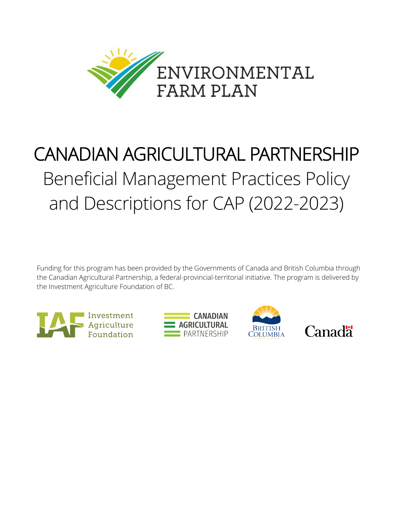

# CANADIAN AGRICULTURAL PARTNERSHIP Beneficial Management Practices Policy and Descriptions for CAP (2022-2023)

Funding for this program has been provided by the Governments of Canada and British Columbia through the Canadian Agricultural Partnership, a federal-provincial-territorial initiative. The program is delivered by the Investment Agriculture Foundation of BC.







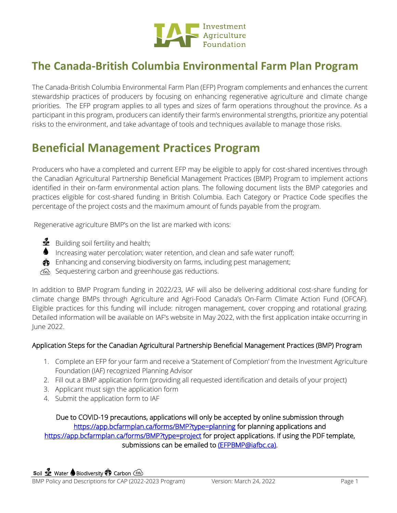

# **The Canada-British Columbia Environmental Farm Plan Program**

The Canada-British Columbia Environmental Farm Plan (EFP) Program complements and enhances the current stewardship practices of producers by focusing on enhancing regenerative agriculture and climate change priorities. The EFP program applies to all types and sizes of farm operations throughout the province. As a participant in this program, producers can identify their farm's environmental strengths, prioritize any potential risks to the environment, and take advantage of tools and techniques available to manage those risks.

# **Beneficial Management Practices Program**

Producers who have a completed and current EFP may be eligible to apply for cost-shared incentives through the Canadian Agricultural Partnership Beneficial Management Practices (BMP) Program to implement actions identified in their on-farm environmental action plans. The following document lists the BMP categories and practices eligible for cost-shared funding in British Columbia. Each Category or Practice Code specifies the percentage of the project costs and the maximum amount of funds payable from the program.

Regenerative agriculture BMP's on the list are marked with icons:

- $\mathbf{\mathcal{L}}$  Building soil fertility and health;
- Increasing water percolation; water retention, and clean and safe water runoff;
- $\ddot{\,}$  Enhancing and conserving biodiversity on farms, including pest management;
- Sequestering carbon and greenhouse gas reductions.

In addition to BMP Program funding in 2022/23, IAF will also be delivering additional cost-share funding for climate change BMPs through Agriculture and Agri-Food Canada's On-Farm Climate Action Fund (OFCAF). Eligible practices for this funding will include: nitrogen management, cover cropping and rotational grazing. Detailed information will be available on IAF's website in May 2022, with the first application intake occurring in June 2022.

# Application Steps for the Canadian Agricultural Partnership Beneficial Management Practices (BMP) Program

- 1. Complete an EFP for your farm and receive a 'Statement of Completion' from the Investment Agriculture Foundation (IAF) recognized Planning Advisor
- 2. Fill out a BMP application form (providing all requested identification and details of your project)
- 3. Applicant must sign the application form
- 4. Submit the application form to IAF

Due to COVID-19 precautions, applications will only be accepted by online submission through <https://app.bcfarmplan.ca/forms/BMP?type=planning>for planning applications and <https://app.bcfarmplan.ca/forms/BMP?type=project>for project applications. If using the PDF template, submissions can be emailed to [\(EFPBMP@iafbc.ca\).](mailto:(EFPBMP@iafbc.ca))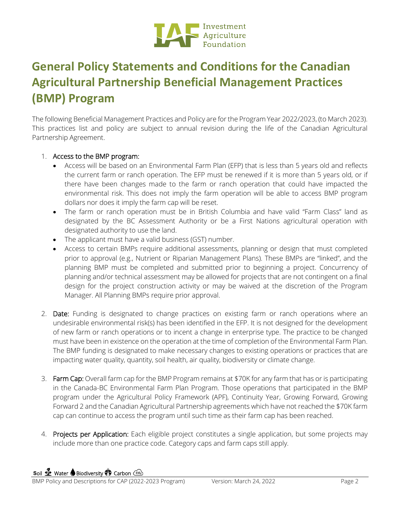

# **General Policy Statements and Conditions for the Canadian Agricultural Partnership Beneficial Management Practices (BMP) Program**

The following Beneficial Management Practices and Policy are for the Program Year 2022/2023, (to March 2023). This practices list and policy are subject to annual revision during the life of the Canadian Agricultural Partnership Agreement.

## 1. Access to the BMP program:

- Access will be based on an Environmental Farm Plan (EFP) that is less than 5 years old and reflects the current farm or ranch operation. The EFP must be renewed if it is more than 5 years old, or if there have been changes made to the farm or ranch operation that could have impacted the environmental risk. This does not imply the farm operation will be able to access BMP program dollars nor does it imply the farm cap will be reset.
- The farm or ranch operation must be in British Columbia and have valid "Farm Class" land as designated by the BC Assessment Authority or be a First Nations agricultural operation with designated authority to use the land.
- The applicant must have a valid business (GST) number.
- Access to certain BMPs require additional assessments, planning or design that must completed prior to approval (e.g., Nutrient or Riparian Management Plans). These BMPs are "linked", and the planning BMP must be completed and submitted prior to beginning a project. Concurrency of planning and/or technical assessment may be allowed for projects that are not contingent on a final design for the project construction activity or may be waived at the discretion of the Program Manager. All Planning BMPs require prior approval.
- 2. Date: Funding is designated to change practices on existing farm or ranch operations where an undesirable environmental risk(s) has been identified in the EFP. It is not designed for the development of new farm or ranch operations or to incent a change in enterprise type. The practice to be changed must have been in existence on the operation at the time of completion of the Environmental Farm Plan. The BMP funding is designated to make necessary changes to existing operations or practices that are impacting water quality, quantity, soil health, air quality, biodiversity or climate change.
- 3. Farm Cap: Overall farm cap for the BMP Program remains at \$70K for any farm that has or is participating in the Canada-BC Environmental Farm Plan Program. Those operations that participated in the BMP program under the Agricultural Policy Framework (APF), Continuity Year, Growing Forward, Growing Forward 2 and the Canadian Agricultural Partnership agreements which have not reached the \$70K farm cap can continue to access the program until such time as their farm cap has been reached.
- 4. Projects per Application: Each eligible project constitutes a single application, but some projects may include more than one practice code. Category caps and farm caps still apply.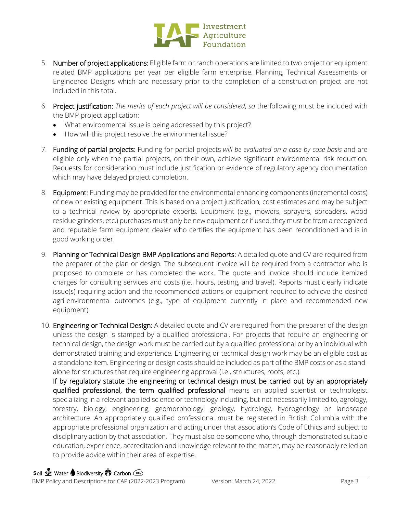

- 5. Number of project applications: Eligible farm or ranch operations are limited to two project or equipment related BMP applications per year per eligible farm enterprise. Planning, Technical Assessments or Engineered Designs which are necessary prior to the completion of a construction project are not included in this total.
- 6. Project justification: *The merits of each project will be considered*, *so* the following must be included with the BMP project application:
	- What environmental issue is being addressed by this project?
	- How will this project resolve the environmental issue?
- 7. Funding of partial projects: Funding for partial projects *will be evaluated on a case-by-case basis* and are eligible only when the partial projects, on their own, achieve significant environmental risk reduction. Requests for consideration must include justification or evidence of regulatory agency documentation which may have delayed project completion.
- 8. Equipment: Funding may be provided for the environmental enhancing components (incremental costs) of new or existing equipment. This is based on a project justification, cost estimates and may be subject to a technical review by appropriate experts. Equipment (e.g., mowers, sprayers, spreaders, wood residue grinders, etc.) purchases must only be new equipment or if used, they must be from a recognized and reputable farm equipment dealer who certifies the equipment has been reconditioned and is in good working order.
- 9. Planning or Technical Design BMP Applications and Reports: A detailed quote and CV are required from the preparer of the plan or design. The subsequent invoice will be required from a contractor who is proposed to complete or has completed the work. The quote and invoice should include itemized charges for consulting services and costs (i.e., hours, testing, and travel). Reports must clearly indicate issue(s) requiring action and the recommended actions or equipment required to achieve the desired agri-environmental outcomes (e.g., type of equipment currently in place and recommended new equipment).
- 10. Engineering or Technical Design: A detailed quote and CV are required from the preparer of the design unless the design is stamped by a qualified professional. For projects that require an engineering or technical design, the design work must be carried out by a qualified professional or by an individual with demonstrated training and experience. Engineering or technical design work may be an eligible cost as a standalone item. Engineering or design costs should be included as part of the BMP costs or as a standalone for structures that require engineering approval (i.e., structures, roofs, etc.).

If by regulatory statute the engineering or technical design must be carried out by an appropriately qualified professional, the term qualified professional means an applied scientist or technologist specializing in a relevant applied science or technology including, but not necessarily limited to, agrology, forestry, biology, engineering, geomorphology, geology, hydrology, hydrogeology or landscape architecture. An appropriately qualified professional must be registered in British Columbia with the appropriate professional organization and acting under that association's Code of Ethics and subject to disciplinary action by that association. They must also be someone who, through demonstrated suitable education, experience, accreditation and knowledge relevant to the matter, may be reasonably relied on to provide advice within their area of expertise.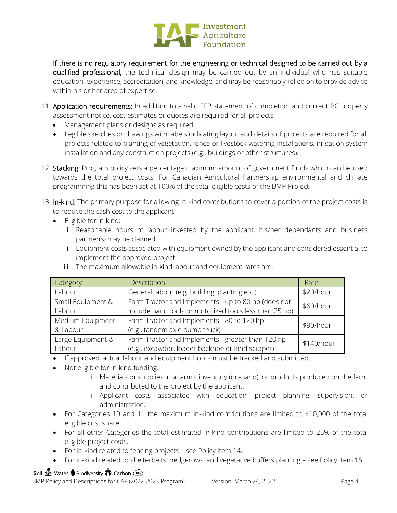

If there is no regulatory requirement for the engineering or technical designed to be carried out by a qualified professional, the technical design may be carried out by an individual who has suitable education, experience, accreditation, and knowledge, and may be reasonably relied on to provide advice within his or her area of expertise.

- 11. Application requirements: In addition to a valid EFP statement of completion and current BC property assessment notice, cost estimates or quotes are required for all projects.
	- Management plans or designs as required.
	- Legible sketches or drawings with labels indicating layout and details of projects are required for all projects related to planting of vegetation, fence or livestock watering installations, irrigation system installation and any construction projects (e.g., buildings or other structures).
- 12. Stacking: Program policy sets a percentage maximum amount of government funds which can be used towards the total project costs. For Canadian Agricultural Partnership environmental and climate programming this has been set at 100% of the total eligible costs of the BMP Project.
- 13. In-kind: The primary purpose for allowing in-kind contributions to cover a portion of the project costs is to reduce the cash cost to the applicant.
	- Eligible for in-kind:
		- i. Reasonable hours of labour invested by the applicant, his/her dependants and business partner(s) may be claimed.
		- ii. Equipment costs associated with equipment owned by the applicant and considered essential to implement the approved project.

| Category          | Description                                            | Rate       |
|-------------------|--------------------------------------------------------|------------|
| Labour            | General labour (e.g. building, planting etc.)          | \$20/hour  |
| Small Equipment & | Farm Tractor and Implements - up to 80 hp (does not    | \$60/hour  |
| Labour            | include hand tools or motorized tools less than 25 hp) |            |
| Medium Equipment  | Farm Tractor and Implements - 80 to 120 hp             | \$90/hour  |
| & Labour          | (e.g., tandem axle dump truck)                         |            |
| Large Equipment & | Farm Tractor and Implements - greater than 120 hp      | \$140/hour |
| Labour            | (e.g., excavator, loader backhoe or land scraper)      |            |
|                   |                                                        |            |

iii. The maximum allowable in-kind labour and equipment rates are:

- If approved, actual labour and equipment hours must be tracked and submitted.
- Not eligible for in-kind funding:
	- i. Materials or supplies in a farm's inventory (on-hand), or products produced on the farm and contributed to the project by the applicant.
	- ii. Applicant costs associated with education, project planning, supervision, or administration.
- For Categories 10 and 11 the maximum in-kind contributions are limited to \$10,000 of the total eligible cost share.
- For all other Categories the total estimated in-kind contributions are limited to 25% of the total eligible project costs.
- For in-kind related to fencing projects see Policy Item 14.
- For in-kind related to shelterbelts, hedgerows, and vegetative buffers planting see Policy Item 15.

# **Soil Se** Water Biodiversity **O** Carbon Co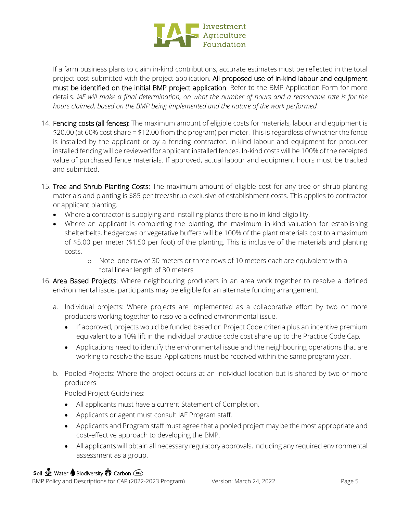

If a farm business plans to claim in-kind contributions, accurate estimates must be reflected in the total project cost submitted with the project application. All proposed use of in-kind labour and equipment must be identified on the initial BMP project application. Refer to the BMP Application Form for more details. *IAF will make a final determination, on what the number of hours and a reasonable rate is for the hours claimed, based on the BMP being implemented and the nature of the work performed.*

- 14. Fencing costs (all fences): The maximum amount of eligible costs for materials, labour and equipment is \$20.00 (at 60% cost share = \$12.00 from the program) per meter. This is regardless of whether the fence is installed by the applicant or by a fencing contractor. In-kind labour and equipment for producer installed fencing will be reviewed for applicant installed fences. In-kind costs will be 100% of the receipted value of purchased fence materials. If approved, actual labour and equipment hours must be tracked and submitted.
- 15. Tree and Shrub Planting Costs: The maximum amount of eligible cost for any tree or shrub planting materials and planting is \$85 per tree/shrub exclusive of establishment costs. This applies to contractor or applicant planting.
	- Where a contractor is supplying and installing plants there is no in-kind eligibility.
	- Where an applicant is completing the planting, the maximum in-kind valuation for establishing shelterbelts, hedgerows or vegetative buffers will be 100% of the plant materials cost to a maximum of \$5.00 per meter (\$1.50 per foot) of the planting. This is inclusive of the materials and planting costs.
		- o Note: one row of 30 meters or three rows of 10 meters each are equivalent with a total linear length of 30 meters
- 16. Area Based Projects: Where neighbouring producers in an area work together to resolve a defined environmental issue, participants may be eligible for an alternate funding arrangement.
	- a. Individual projects: Where projects are implemented as a collaborative effort by two or more producers working together to resolve a defined environmental issue.
		- If approved, projects would be funded based on Project Code criteria plus an incentive premium equivalent to a 10% lift in the individual practice code cost share up to the Practice Code Cap.
		- Applications need to identify the environmental issue and the neighbouring operations that are working to resolve the issue. Applications must be received within the same program year.
	- b. Pooled Projects: Where the project occurs at an individual location but is shared by two or more producers.

Pooled Project Guidelines:

- All applicants must have a current Statement of Completion.
- Applicants or agent must consult IAF Program staff.
- Applicants and Program staff must agree that a pooled project may be the most appropriate and cost-effective approach to developing the BMP.
- All applicants will obtain all necessary regulatory approvals, including any required environmental assessment as a group.

## **Soil Se** Water Biodiversity **OD** Carbon Co.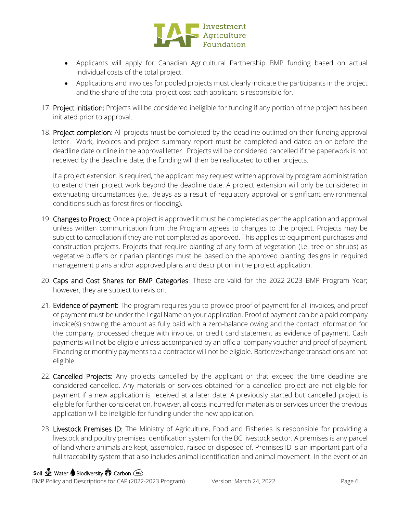

- Applicants will apply for Canadian Agricultural Partnership BMP funding based on actual individual costs of the total project.
- Applications and invoices for pooled projects must clearly indicate the participants in the project and the share of the total project cost each applicant is responsible for.
- 17. Project initiation: Projects will be considered ineligible for funding if any portion of the project has been initiated prior to approval.
- 18. Project completion: All projects must be completed by the deadline outlined on their funding approval letter. Work, invoices and project summary report must be completed and dated on or before the deadline date outline in the approval letter. Projects will be considered cancelled if the paperwork is not received by the deadline date; the funding will then be reallocated to other projects.

If a project extension is required, the applicant may request written approval by program administration to extend their project work beyond the deadline date. A project extension will only be considered in extenuating circumstances (i.e., delays as a result of regulatory approval or significant environmental conditions such as forest fires or flooding).

- 19. Changes to Project: Once a project is approved it must be completed as per the application and approval unless written communication from the Program agrees to changes to the project. Projects may be subject to cancellation if they are not completed as approved. This applies to equipment purchases and construction projects. Projects that require planting of any form of vegetation (i.e. tree or shrubs) as vegetative buffers or riparian plantings must be based on the approved planting designs in required management plans and/or approved plans and description in the project application.
- 20. Caps and Cost Shares for BMP Categories: These are valid for the 2022-2023 BMP Program Year; however, they are subject to revision.
- 21. Evidence of payment: The program requires you to provide proof of payment for all invoices, and proof of payment must be under the Legal Name on your application. Proof of payment can be a paid company invoice(s) showing the amount as fully paid with a zero-balance owing and the contact information for the company, processed cheque with invoice, or credit card statement as evidence of payment. Cash payments will not be eligible unless accompanied by an official company voucher and proof of payment. Financing or monthly payments to a contractor will not be eligible. Barter/exchange transactions are not eligible.
- 22. Cancelled Projects: Any projects cancelled by the applicant or that exceed the time deadline are considered cancelled. Any materials or services obtained for a cancelled project are not eligible for payment if a new application is received at a later date. A previously started but cancelled project is eligible for further consideration, however, all costs incurred for materials or services under the previous application will be ineligible for funding under the new application.
- 23. Livestock Premises ID: The Ministry of Agriculture, Food and Fisheries is responsible for providing a livestock and poultry premises identification system for the BC livestock sector. A premises is any parcel of land where animals are kept, assembled, raised or disposed of. Premises ID is an important part of a full traceability system that also includes animal identification and animal movement. In the event of an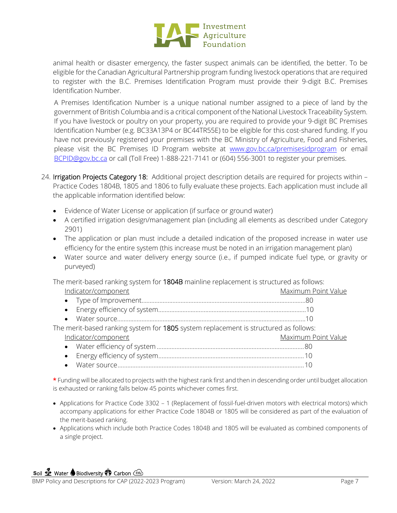

animal health or disaster emergency, the faster suspect animals can be identified, the better. To be eligible for the Canadian Agricultural Partnership program funding livestock operations that are required to register with the B.C. Premises Identification Program must provide their 9-digit B.C. Premises Identification Number.

A Premises Identification Number is a unique national number assigned to a piece of land by the government of British Columbia and is a critical component of the National Livestock Traceability System. If you have livestock or poultry on your property, you are required to provide your 9-digit BC Premises Identification Number (e.g. BC33A13P4 or BC44TR55E) to be eligible for this cost-shared funding. If you have not previously registered your premises with the BC Ministry of Agriculture, Food and Fisheries, please visit the BC Premises ID Program website at [www.gov.bc.ca/premisesidprogram](http://www.gov.bc.ca/premisesidprogram) or email [BCPID@gov.bc.ca](mailto:BCPID@gov.bc.ca) or call (Toll Free) 1-888-221-7141 or (604) 556-3001 to register your premises.

- 24. Irrigation Projects Category 18: Additional project description details are required for projects within Practice Codes 1804B, 1805 and 1806 to fully evaluate these projects. Each application must include all the applicable information identified below:
	- Evidence of Water License or application (if surface or ground water)
	- A certified irrigation design/management plan (including all elements as described under Category 2901)
	- The application or plan must include a detailed indication of the proposed increase in water use efficiency for the entire system (this increase must be noted in an irrigation management plan)
	- Water source and water delivery energy source (i.e., if pumped indicate fuel type, or gravity or purveyed)

The merit-based ranking system for 1804B mainline replacement is structured as follows:

| Indicator/component                                                                  | Maximum Point Value |
|--------------------------------------------------------------------------------------|---------------------|
|                                                                                      |                     |
|                                                                                      |                     |
|                                                                                      |                     |
| The merit-based ranking system for 1805 system replacement is structured as follows: |                     |
| Indicator/component                                                                  | Maximum Point Value |
|                                                                                      |                     |
|                                                                                      |                     |
|                                                                                      |                     |
|                                                                                      |                     |

\* Funding will be allocated to projects with the highest rank first and then in descending order until budget allocation is exhausted or ranking falls below 45 points whichever comes first.

- Applications for Practice Code 3302 1 (Replacement of fossil-fuel-driven motors with electrical motors) which accompany applications for either Practice Code 1804B or 1805 will be considered as part of the evaluation of the merit-based ranking.
- Applications which include both Practice Codes 1804B and 1805 will be evaluated as combined components of a single project.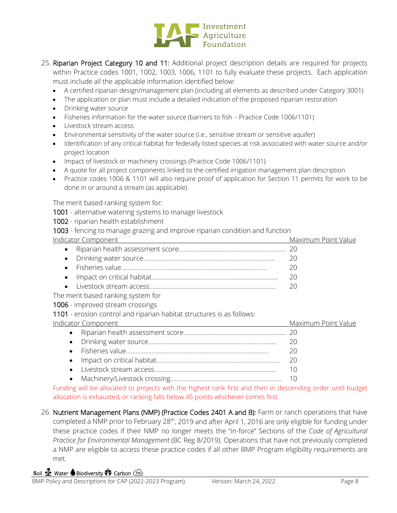

- 25. Riparian Project Category 10 and 11: Additional project description details are required for projects within Practice codes 1001, 1002, 1003, 1006, 1101 to fully evaluate these projects. Each application must include all the applicable information identified below:
	- A certified riparian design/management plan (including all elements as described under Category 3001)
	- The application or plan must include a detailed indication of the proposed riparian restoration
	- Drinking water source
	- Fisheries information for the water source (barriers to fish Practice Code 1006/1101)
	- Livestock stream access
	- Environmental sensitivity of the water source (i.e., sensitive stream or sensitive aquifer)
	- Identification of any critical habitat for federally listed species at risk associated with water source and/or project location
	- Impact of livestock or machinery crossings (Practice Code 1006/1101)
	- A quote for all project components linked to the certified irrigation management plan description
	- Practice codes 1006 & 1101 will also require proof of application for Section 11 permits for work to be done in or around a stream (as applicable)

The merit based ranking system for:

- 1001 alternative watering systems to manage livestock
- 1002 riparian health establishment
- 1003 fencing to manage grazing and improve riparian condition and function

|  | Maximum Point Value |
|--|---------------------|
|  |                     |
|  |                     |
|  |                     |
|  | 20                  |
|  |                     |
|  |                     |

The merit based ranking system for

1006 - improved stream crossings

1101 - erosion control and riparian habitat structures is as follows:

| <b>Indicator Component</b> | Maximum Point Value |
|----------------------------|---------------------|
|                            |                     |
|                            |                     |
|                            |                     |
|                            | 20                  |
|                            |                     |
|                            |                     |

Funding will be allocated to projects with the highest rank first and then in descending order until budget allocation is exhausted, or ranking falls below 45 points whichever comes first.

26. Nutrient Management Plans (NMP) (Practice Codes 2401 A and B): Farm or ranch operations that have completed a NMP prior to February 28<sup>th</sup>, 2019 and after April 1, 2016 are only eligible for funding under these practice codes if their NMP no longer meets the "in-force" Sections of the *Code of Agricultural Practice for Environmental Management* (BC Reg 8/2019). Operations that have not previously completed a NMP are eligible to access these practice codes if all other BMP Program eligibility requirements are met.

## **Soil Se** Water Biodiversity **O** Carbon Co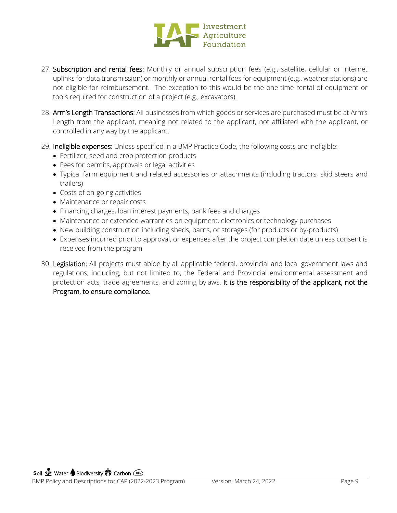

- 27. Subscription and rental fees: Monthly or annual subscription fees (e.g., satellite, cellular or internet uplinks for data transmission) or monthly or annual rental fees for equipment (e.g., weather stations) are not eligible for reimbursement. The exception to this would be the one-time rental of equipment or tools required for construction of a project (e.g., excavators).
- 28. Arm's Length Transactions: All businesses from which goods or services are purchased must be at Arm's Length from the applicant, meaning not related to the applicant, not affiliated with the applicant, or controlled in any way by the applicant.
- 29. Ineligible expenses: Unless specified in a BMP Practice Code, the following costs are ineligible:
	- Fertilizer, seed and crop protection products
	- Fees for permits, approvals or legal activities
	- Typical farm equipment and related accessories or attachments (including tractors, skid steers and trailers)
	- Costs of on-going activities
	- Maintenance or repair costs
	- Financing charges, loan interest payments, bank fees and charges
	- Maintenance or extended warranties on equipment, electronics or technology purchases
	- New building construction including sheds, barns, or storages (for products or by-products)
	- Expenses incurred prior to approval, or expenses after the project completion date unless consent is received from the program
- 30. Legislation: All projects must abide by all applicable federal, provincial and local government laws and regulations, including, but not limited to, the Federal and Provincial environmental assessment and protection acts, trade agreements, and zoning bylaws. It is the responsibility of the applicant, not the Program, to ensure compliance.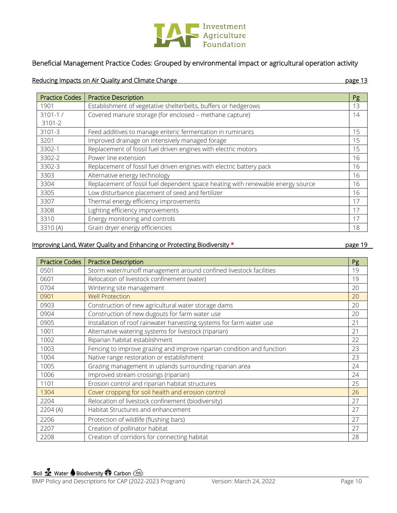

# Beneficial Management Practice Codes: Grouped by environmental impact or agricultural operation activity

#### Reducing Impacts on Air Quality and Climate Change page 13

| <b>Practice Codes</b> | <b>Practice Description</b>                                                     | Pg |
|-----------------------|---------------------------------------------------------------------------------|----|
| 1901                  | Establishment of vegetative shelterbelts, buffers or hedgerows                  | 13 |
| $3101 - 1 /$          | Covered manure storage (for enclosed - methane capture)                         | 14 |
| 3101-2                |                                                                                 |    |
| 3101-3                | Feed additives to manage enteric fermentation in ruminants                      | 15 |
| 3201                  | Improved drainage on intensively managed forage                                 | 15 |
| 3302-1                | Replacement of fossil fuel driven engines with electric motors                  | 15 |
| 3302-2                | Power line extension                                                            | 16 |
| 3302-3                | Replacement of fossil fuel driven engines with electric battery pack            | 16 |
| 3303                  | Alternative energy technology                                                   | 16 |
| 3304                  | Replacement of fossil fuel dependent space heating with renewable energy source | 16 |
| 3305                  | Low disturbance placement of seed and fertilizer                                | 16 |
| 3307                  | Thermal energy efficiency improvements                                          | 17 |
| 3308                  | Lighting efficiency improvements                                                | 17 |
| 3310                  | Energy monitoring and controls                                                  | 17 |
| 3310 (A)              | Grain dryer energy efficiencies                                                 | 18 |

#### Improving Land, Water Quality and Enhancing or Protecting Biodiversity \* page 19

| <b>Practice Codes</b> | <b>Practice Description</b>                                            | Pg |
|-----------------------|------------------------------------------------------------------------|----|
| 0501                  | Storm water/runoff management around confined livestock facilities     | 19 |
| 0601                  | Relocation of livestock confinement (water)                            | 19 |
| 0704                  | Wintering site management                                              | 20 |
| 0901                  | <b>Well Protection</b>                                                 | 20 |
| 0903                  | Construction of new agricultural water storage dams                    | 20 |
| 0904                  | Construction of new dugouts for farm water use                         | 20 |
| 0905                  | Installation of roof rainwater harvesting systems for farm water use   | 21 |
| 1001                  | Alternative watering systems for livestock (riparian)                  | 21 |
| 1002                  | Riparian habitat establishment                                         | 22 |
| 1003                  | Fencing to improve grazing and improve riparian condition and function | 23 |
| 1004                  | Native range restoration or establishment                              | 23 |
| 1005                  | Grazing management in uplands surrounding riparian area                | 24 |
| 1006                  | Improved stream crossings (riparian)                                   | 24 |
| 1101                  | Erosion control and riparian habitat structures                        | 25 |
| 1304                  | Cover cropping for soil health and erosion control                     | 26 |
| 2204                  | Relocation of livestock confinement (biodiversity)                     | 27 |
| 2204 (A)              | Habitat Structures and enhancement                                     | 27 |
| 2206                  | Protection of wildlife (flushing bars)                                 | 27 |
| 2207                  | Creation of pollinator habitat                                         | 27 |
| 2208                  | Creation of corridors for connecting habitat                           | 28 |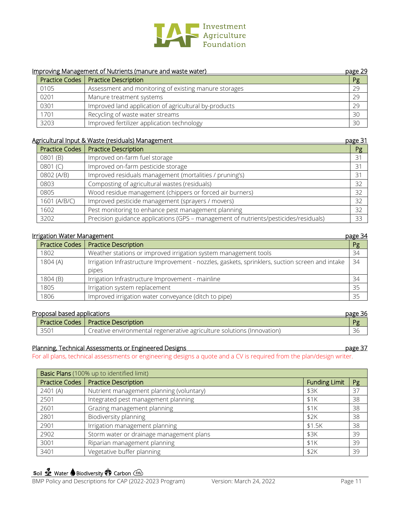

|      | Improving Management of Nutrients (manure and waste water) | page 29 |
|------|------------------------------------------------------------|---------|
|      | Practice Codes   Practice Description                      | Pg      |
| 0105 | Assessment and monitoring of existing manure storages      | 29      |
| 0201 | Manure treatment systems                                   | 29      |
| 0301 | Improved land application of agricultural by-products      | 29      |
| 1701 | Recycling of waste water streams                           | 30      |
| 3203 | Improved fertilizer application technology                 | 30      |

#### Agricultural Input & Waste (residuals) Management page 31

| <b>Practice Codes</b> | <b>Practice Description</b>                                                          | Pg |
|-----------------------|--------------------------------------------------------------------------------------|----|
| 0801 (B)              | Improved on-farm fuel storage                                                        | 31 |
| 0801 (C)              | Improved on-farm pesticide storage                                                   | 31 |
| 0802 (A/B)            | Improved residuals management (mortalities / pruning's)                              | 31 |
| 0803                  | Composting of agricultural wastes (residuals)                                        | 32 |
| 0805                  | Wood residue management (chippers or forced air burners)                             | 32 |
| 1601 (A/B/C)          | Improved pesticide management (sprayers / movers)                                    | 32 |
| 1602                  | Pest monitoring to enhance pest management planning                                  | 32 |
| 3202                  | Precision guidance applications (GPS - management of nutrients/pesticides/residuals) | 33 |

#### Irrigation Water Management **page 34**

|                       |                                                                                                 | <u>reger</u> |
|-----------------------|-------------------------------------------------------------------------------------------------|--------------|
| <b>Practice Codes</b> | <b>Practice Description</b>                                                                     | Pg           |
| 1802                  | Weather stations or improved irrigation system management tools                                 | 34           |
| 1804(A)               | Irrigation Infrastructure Improvement - nozzles, gaskets, sprinklers, suction screen and intake | 34           |
|                       | pipes                                                                                           |              |
| 1804 (B)              | Irrigation Infrastructure Improvement - mainline                                                | 34           |
| 1805                  | Irrigation system replacement                                                                   | 35           |
| 1806                  | Improved irrigation water conveyance (ditch to pipe)                                            | 35           |

#### Proposal based applications expression and page 36

|      |                                                                        | ------ |
|------|------------------------------------------------------------------------|--------|
|      | Practice Codes   Practice Description                                  | Pσ     |
| 3501 | Creative environmental regenerative agriculture solutions (Innovation) | $\sim$ |

#### Planning, Technical Assessments or Engineered Designs **page 37** and page 37

For all plans, technical assessments or engineering designs a quote and a CV is required from the plan/design writer.

| Basic Plans (100% up to identified limit) |                                          |                      |    |
|-------------------------------------------|------------------------------------------|----------------------|----|
| <b>Practice Codes</b>                     | <b>Practice Description</b>              | <b>Funding Limit</b> | Pg |
| 2401(A)                                   | Nutrient management planning (voluntary) | \$3K                 | 37 |
| 2501                                      | Integrated pest management planning      | \$1K                 | 38 |
| 2601                                      | Grazing management planning              | \$1K                 | 38 |
| 2801                                      | Biodiversity planning                    | \$2K                 | 38 |
| 2901                                      | Irrigation management planning           | \$1.5K               | 38 |
| 2902                                      | Storm water or drainage management plans | \$3K                 | 39 |
| 3001                                      | Riparian management planning             | \$1K                 | 39 |
| 3401                                      | Vegetative buffer planning               | \$2K                 | 39 |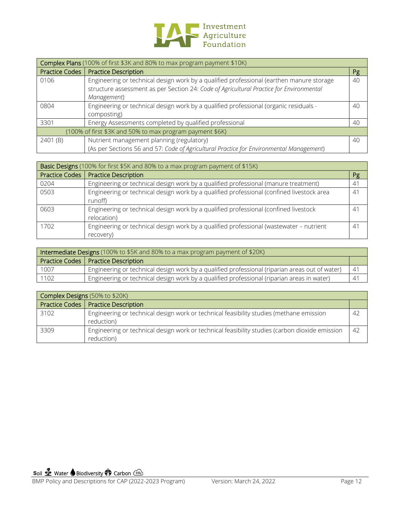

| Complex Plans (100% of first \$3K and 80% to max program payment \$10K) |                                                                                                                                                                                                    |    |
|-------------------------------------------------------------------------|----------------------------------------------------------------------------------------------------------------------------------------------------------------------------------------------------|----|
| <b>Practice Codes</b>                                                   | <b>Practice Description</b>                                                                                                                                                                        | Pg |
| 0106                                                                    | Engineering or technical design work by a qualified professional (earthen manure storage<br>structure assessment as per Section 24: Code of Agricultural Practice for Environmental<br>Management) | 40 |
| 0804                                                                    | Engineering or technical design work by a qualified professional (organic residuals -<br>composting)                                                                                               | 40 |
| 3301                                                                    | Energy Assessments completed by qualified professional                                                                                                                                             | 40 |
| (100% of first \$3K and 50% to max program payment \$6K)                |                                                                                                                                                                                                    |    |
| 2401 (B)                                                                | Nutrient management planning (regulatory)<br>(As per Sections 56 and 57: Code of Agricultural Practice for Environmental Management)                                                               | 40 |

| Basic Designs (100% for first \$5K and 80% to a max program payment of \$15K) |                                                                                                      |    |  |
|-------------------------------------------------------------------------------|------------------------------------------------------------------------------------------------------|----|--|
| <b>Practice Codes</b>                                                         | <b>Practice Description</b>                                                                          | Pg |  |
| 0204                                                                          | Engineering or technical design work by a qualified professional (manure treatment)                  | 41 |  |
| 0503                                                                          | Engineering or technical design work by a qualified professional (confined livestock area<br>runoff) | 41 |  |
| 0603                                                                          | Engineering or technical design work by a qualified professional (confined livestock<br>relocation)  | 41 |  |
| 1702                                                                          | Engineering or technical design work by a qualified professional (wastewater - nutrient<br>recovery) | 41 |  |

| Intermediate Designs (100% to \$5K and 80% to a max program payment of \$20K) |                                                                                                |    |  |  |
|-------------------------------------------------------------------------------|------------------------------------------------------------------------------------------------|----|--|--|
|                                                                               | Practice Codes   Practice Description                                                          |    |  |  |
| 1007                                                                          | Engineering or technical design work by a qualified professional (riparian areas out of water) | 41 |  |  |
| 1102                                                                          | Engineering or technical design work by a qualified professional (riparian areas in water)     | 41 |  |  |

| <b>Complex Designs (50% to \$20K)</b> |                                                                                                              |     |  |  |
|---------------------------------------|--------------------------------------------------------------------------------------------------------------|-----|--|--|
|                                       | Practice Codes   Practice Description                                                                        |     |  |  |
| 3102                                  | Engineering or technical design work or technical feasibility studies (methane emission<br>reduction)        | 42  |  |  |
| 3309                                  | Engineering or technical design work or technical feasibility studies (carbon dioxide emission<br>reduction) | -42 |  |  |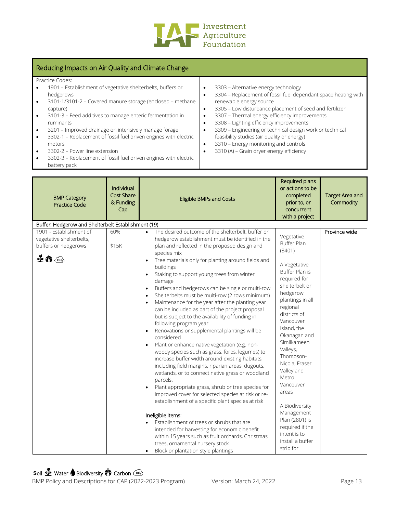

## Reducing Impacts on Air Quality and Climate Change

| Practice Codes:                                                               |                                                                |
|-------------------------------------------------------------------------------|----------------------------------------------------------------|
| 1901 - Establishment of vegetative shelterbelts, buffers or                   | 3303 - Alternative energy technology<br>٠                      |
| hedgerows                                                                     | 3304 - Replacement of fossil fuel dependant space heating with |
| 3101-1/3101-2 - Covered manure storage (enclosed - methane<br>$\bullet$       | renewable energy source                                        |
| capture)                                                                      | 3305 - Low disturbance placement of seed and fertilizer        |
| 3101-3 - Feed additives to manage enteric fermentation in<br>$\bullet$        | 3307 - Thermal energy efficiency improvements                  |
| ruminants                                                                     | 3308 - Lighting efficiency improvements                        |
| 3201 - Improved drainage on intensively manage forage<br>$\bullet$            | 3309 - Engineering or technical design work or technical       |
| 3302-1 - Replacement of fossil fuel driven engines with electric<br>$\bullet$ | feasibility studies (air quality or energy)                    |
| motors                                                                        | 3310 - Energy monitoring and controls                          |
| 3302-2 - Power line extension<br>$\bullet$                                    | 3310 (A) - Grain dryer energy efficiency                       |

- 3302-2 Power line extension
- 3302-3 Replacement of fossil fuel driven engines with electric battery pack

| Cap                                                                                                                                                                                                                                                                                                                                                                                                                                                                                                                                                                                                                                                                                                                                                                                                                                                                                                                                                                                                                                                                                                                                                                                                                                                                                                                                                                                                                                                                                                                                                      | Required plans<br>or actions to be<br>completed<br>prior to, or<br>concurrent<br>with a project                                                                                                                                                                                                                                                                                                                                                     | <b>Target Area and</b><br>Commodity |
|----------------------------------------------------------------------------------------------------------------------------------------------------------------------------------------------------------------------------------------------------------------------------------------------------------------------------------------------------------------------------------------------------------------------------------------------------------------------------------------------------------------------------------------------------------------------------------------------------------------------------------------------------------------------------------------------------------------------------------------------------------------------------------------------------------------------------------------------------------------------------------------------------------------------------------------------------------------------------------------------------------------------------------------------------------------------------------------------------------------------------------------------------------------------------------------------------------------------------------------------------------------------------------------------------------------------------------------------------------------------------------------------------------------------------------------------------------------------------------------------------------------------------------------------------------|-----------------------------------------------------------------------------------------------------------------------------------------------------------------------------------------------------------------------------------------------------------------------------------------------------------------------------------------------------------------------------------------------------------------------------------------------------|-------------------------------------|
| Buffer, Hedgerow and Shelterbelt Establishment (19)                                                                                                                                                                                                                                                                                                                                                                                                                                                                                                                                                                                                                                                                                                                                                                                                                                                                                                                                                                                                                                                                                                                                                                                                                                                                                                                                                                                                                                                                                                      |                                                                                                                                                                                                                                                                                                                                                                                                                                                     |                                     |
| 1901 - Establishment of<br>The desired outcome of the shelterbelt, buffer or<br>60%<br>$\bullet$<br>vegetative shelterbelts,<br>hedgerow establishment must be identified in the<br>buffers or hedgerows<br>\$15K<br>plan and reflected in the proposed design and<br>species mix<br>$\mathbf{\Phi} \, \mathbf{\hat{w}} \, \mathbf{\odot}$<br>Tree materials only for planting around fields and<br>$\bullet$<br>buildings<br>Staking to support young trees from winter<br>damage<br>Buffers and hedgerows can be single or multi-row<br>$\bullet$<br>Shelterbelts must be multi-row (2 rows minimum)<br>$\bullet$<br>Maintenance for the year after the planting year<br>can be included as part of the project proposal<br>but is subject to the availability of funding in<br>following program year<br>Renovations or supplemental plantings will be<br>$\bullet$<br>considered<br>Plant or enhance native vegetation (e.g. non-<br>$\bullet$<br>woody species such as grass, forbs, legumes) to<br>increase buffer width around existing habitats,<br>including field margins, riparian areas, dugouts,<br>wetlands, or to connect native grass or woodland<br>parcels.<br>Plant appropriate grass, shrub or tree species for<br>improved cover for selected species at risk or re-<br>establishment of a specific plant species at risk<br>Ineligible items:<br>Establishment of trees or shrubs that are<br>intended for harvesting for economic benefit<br>within 15 years such as fruit orchards, Christmas<br>trees, ornamental nursery stock | Vegetative<br>Buffer Plan<br>(3401)<br>A Vegetative<br><b>Buffer Plan is</b><br>required for<br>shelterbelt or<br>hedgerow<br>plantings in all<br>regional<br>districts of<br>Vancouver<br>Island, the<br>Okanagan and<br>Similkameen<br>Valleys,<br>Thompson-<br>Nicola, Fraser<br>Valley and<br>Metro<br>Vancouver<br>areas<br>A Biodiversity<br>Management<br>Plan (2801) is<br>required if the<br>intent is to<br>install a buffer<br>strip for | Province wide                       |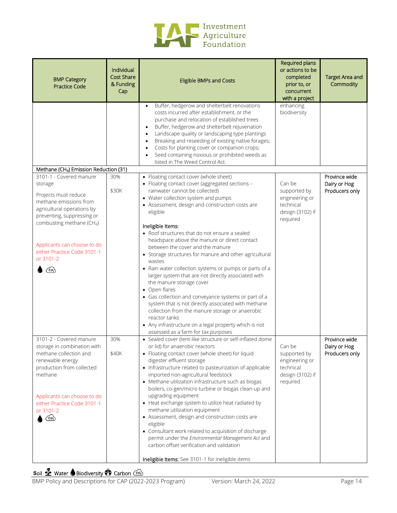

| <b>BMP Category</b><br><b>Practice Code</b>                                                                                                                                                                                                                                                                  | Individual<br><b>Cost Share</b><br>& Funding<br>Cap | <b>Eligible BMPs and Costs</b>                                                                                                                                                                                                                                                                                                                                                                                                                                                                                                                                                                                                                                                                                                                                                               | Required plans<br>or actions to be<br>completed<br>prior to, or<br>concurrent<br>with a project | <b>Target Area and</b><br>Commodity             |
|--------------------------------------------------------------------------------------------------------------------------------------------------------------------------------------------------------------------------------------------------------------------------------------------------------------|-----------------------------------------------------|----------------------------------------------------------------------------------------------------------------------------------------------------------------------------------------------------------------------------------------------------------------------------------------------------------------------------------------------------------------------------------------------------------------------------------------------------------------------------------------------------------------------------------------------------------------------------------------------------------------------------------------------------------------------------------------------------------------------------------------------------------------------------------------------|-------------------------------------------------------------------------------------------------|-------------------------------------------------|
|                                                                                                                                                                                                                                                                                                              |                                                     | Buffer, hedgerow and shelterbelt renovations<br>$\bullet$<br>costs incurred after establishment, or the<br>purchase and relocation of established trees<br>Buffer, hedgerow and shelterbelt rejuvenation<br>$\bullet$<br>Landscape quality or landscaping type plantings<br>$\bullet$<br>Breaking and reseeding of existing native forages;<br>$\bullet$<br>Costs for planting cover or companion crops;<br>$\bullet$<br>Seed containing noxious or prohibited weeds as<br>listed in The Weed Control Act.                                                                                                                                                                                                                                                                                   | enhancing<br>biodiversity                                                                       |                                                 |
| Methane (CH4) Emission Reduction (31)                                                                                                                                                                                                                                                                        |                                                     |                                                                                                                                                                                                                                                                                                                                                                                                                                                                                                                                                                                                                                                                                                                                                                                              |                                                                                                 |                                                 |
| 3101-1 - Covered manure<br>storage<br>Projects must reduce<br>methane emissions from<br>agricultural operations by<br>preventing, suppressing or<br>combusting methane (CH <sub>4</sub> )                                                                                                                    | 30%<br>\$30K                                        | • Floating contact cover (whole sheet)<br>• Floating contact cover (aggregated sections -<br>rainwater cannot be collected)<br>• Water collection system and pumps<br>• Assessment, design and construction costs are<br>eligible                                                                                                                                                                                                                                                                                                                                                                                                                                                                                                                                                            | Can be<br>supported by<br>engineering or<br>technical<br>design (3102) if<br>required           | Province wide<br>Dairy or Hog<br>Producers only |
| Applicants can choose to do<br>either Practice Code 3101-1<br>or 3101-2<br>ැං                                                                                                                                                                                                                                |                                                     | Ineligible Items:<br>• Roof structures that do not ensure a sealed<br>headspace above the manure or direct contact<br>between the cover and the manure<br>• Storage structures for manure and other agricultural<br>wastes<br>• Rain water collection systems or pumps or parts of a<br>larger system that are not directly associated with<br>the manure storage cover<br>• Open flares<br>• Gas collection and conveyance systems or part of a<br>system that is not directly associated with methane<br>collection from the manure storage or anaerobic<br>reactor tanks<br>• Any infrastructure on a legal property which is not<br>assessed as a farm for tax purposes                                                                                                                  |                                                                                                 |                                                 |
| 3101-2 - Covered manure<br>storage in combination with<br>methane collection and<br>renewable energy<br>production from collected<br>methane<br>Applicants can choose to do<br>either Practice Code 3101-1<br>or 3101-2<br>$\left(\begin{smallmatrix} \cos\theta_1 \\ \cos\theta_2 \end{smallmatrix}\right)$ | 30%<br>\$40K                                        | • Sealed cover (tent-like structure or self-inflated dome<br>or lid) for anaerobic reactors<br>• Floating contact cover (whole sheet) for liquid<br>digester effluent storage<br>• Infrastructure related to pasteurization of applicable<br>imported non-agricultural feedstock<br>• Methane utilization infrastructure such as biogas<br>boilers, co-gen/micro turbine or biogas clean-up and<br>upgrading equipment<br>• Heat exchange system to utilize heat radiated by<br>methane utilization equipment<br>• Assessment, design and construction costs are<br>eligible<br>• Consultant work related to acquisition of discharge<br>permit under the Environmental Management Act and<br>carbon offset verification and validation<br>Ineligible Items: See 3101-1 for ineligible items | Can be<br>supported by<br>engineering or<br>technical<br>design (3102) if<br>required           | Province wide<br>Dairy or Hog<br>Producers only |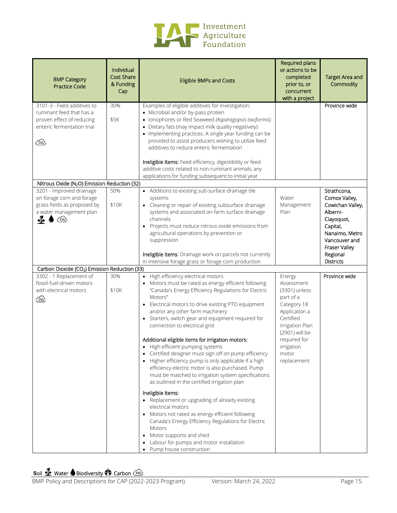

| <b>BMP Category</b><br><b>Practice Code</b>                                                                                    | Individual<br><b>Cost Share</b><br>& Funding<br>Cap | <b>Eligible BMPs and Costs</b>                                                                                                                                                                                                                                                                                                                                                                                                                                                                                                                                                                                                                                                                                                                                                                                                                                                                                                                                                                                                                                     | Required plans<br>or actions to be<br>completed<br>prior to, or<br>concurrent<br>with a project                                                                                            | <b>Target Area and</b><br>Commodity                                                                                                        |
|--------------------------------------------------------------------------------------------------------------------------------|-----------------------------------------------------|--------------------------------------------------------------------------------------------------------------------------------------------------------------------------------------------------------------------------------------------------------------------------------------------------------------------------------------------------------------------------------------------------------------------------------------------------------------------------------------------------------------------------------------------------------------------------------------------------------------------------------------------------------------------------------------------------------------------------------------------------------------------------------------------------------------------------------------------------------------------------------------------------------------------------------------------------------------------------------------------------------------------------------------------------------------------|--------------------------------------------------------------------------------------------------------------------------------------------------------------------------------------------|--------------------------------------------------------------------------------------------------------------------------------------------|
| 3101-3 - Feed additives to<br>ruminant feed that has a<br>proven effect of reducing<br>enteric fermentation trial<br>෬         | 30%<br>\$5K                                         | Examples of eligible additives for investigation:<br>• Microbial and/or by-pass protein<br>• Ionophores or Red Seaweed (Asparagopsis taxiformis)<br>• Dietary fats (may impact milk quality negatively)<br>• Implementing practices: A single year funding can be<br>provided to assist producers wishing to utilize feed<br>additives to reduce enteric fermentation<br>Ineligible Items: Feed efficiency, digestibility or feed<br>additive costs related to non-ruminant animals, any                                                                                                                                                                                                                                                                                                                                                                                                                                                                                                                                                                           |                                                                                                                                                                                            | Province wide                                                                                                                              |
|                                                                                                                                |                                                     | applications for funding subsequent to initial year                                                                                                                                                                                                                                                                                                                                                                                                                                                                                                                                                                                                                                                                                                                                                                                                                                                                                                                                                                                                                |                                                                                                                                                                                            |                                                                                                                                            |
| Nitrous Oxide (N <sub>2</sub> O) Emission Reduction (32)                                                                       |                                                     |                                                                                                                                                                                                                                                                                                                                                                                                                                                                                                                                                                                                                                                                                                                                                                                                                                                                                                                                                                                                                                                                    |                                                                                                                                                                                            |                                                                                                                                            |
| 3201 - Improved drainage<br>on forage corn and forage<br>grass fields as proposed by<br>a water management plan<br>ร่⊵<br>උ- 2 | 50%<br>\$10K                                        | • Additions to existing sub-surface drainage tile<br>systems<br>• Cleaning or repair of existing subsurface drainage<br>systems and associated on-farm surface drainage<br>channels<br>Projects must reduce nitrous oxide emissions from<br>$\bullet$<br>agricultural operations by prevention or<br>suppression                                                                                                                                                                                                                                                                                                                                                                                                                                                                                                                                                                                                                                                                                                                                                   | Water<br>Management<br>Plan                                                                                                                                                                | Strathcona,<br>Comox Valley,<br>Cowichan Valley,<br>Alberni-<br>Clayoquot,<br>Capital,<br>Nanaimo, Metro<br>Vancouver and<br>Fraser Valley |
|                                                                                                                                |                                                     | Ineligible items: Drainage work on parcels not currently<br>in intensive forage grass or forage corn production                                                                                                                                                                                                                                                                                                                                                                                                                                                                                                                                                                                                                                                                                                                                                                                                                                                                                                                                                    |                                                                                                                                                                                            | Regional<br><b>Districts</b>                                                                                                               |
| Carbon Dioxide (CO <sub>2</sub> ) Emission Reduction (33)                                                                      |                                                     |                                                                                                                                                                                                                                                                                                                                                                                                                                                                                                                                                                                                                                                                                                                                                                                                                                                                                                                                                                                                                                                                    |                                                                                                                                                                                            |                                                                                                                                            |
| 3302 - 1 Replacement of<br>fossil-fuel-driven motors<br>with electrical motors<br>෬                                            | 30%<br>\$10K                                        | • High efficiency electrical motors<br>Motors must be rated as energy efficient following<br>"Canada's Energy Efficiency Regulations for Electric<br>Motors"<br>Electrical motors to drive existing PTO equipment<br>and/or any other farm machinery<br>• Starters, switch gear and equipment required for<br>connection to electrical grid<br>Additional eligible items for irrigation motors:<br>High efficient pumping systems<br>Certified designer must sign off on pump efficiency<br>Higher efficiency pump is only applicable if a high<br>$\bullet$<br>efficiency electric motor is also purchased. Pump<br>must be matched to irrigation system specifications<br>as outlined in the certified irrigation plan<br>Ineligible Items:<br>• Replacement or upgrading of already existing<br>electrical motors<br>Motors not rated as energy efficient following<br>$\bullet$<br>Canada's Energy Efficiency Regulations for Electric<br>Motors<br>Motor supports and shed<br>$\bullet$<br>Labour for pumps and motor installation<br>Pump house construction | Energy<br>Assessment<br>(3301) unless<br>part of a<br>Category 18<br>Application a<br>Certified<br>Irrigation Plan<br>(2901) will be<br>required for<br>irrigation<br>motor<br>replacement | Province wide                                                                                                                              |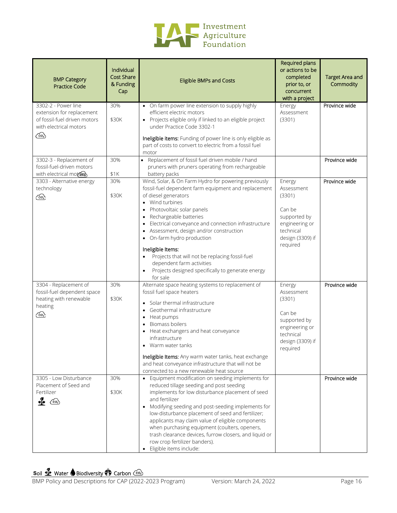

| <b>BMP Category</b><br><b>Practice Code</b>                                                                              | Individual<br><b>Cost Share</b><br>& Funding<br>Cap | <b>Eligible BMPs and Costs</b>                                                                                                                                                                                                                                                                                                                                                                                                                                                                                           | Required plans<br>or actions to be<br>completed<br>prior to, or<br>concurrent<br>with a project                         | <b>Target Area and</b><br>Commodity |
|--------------------------------------------------------------------------------------------------------------------------|-----------------------------------------------------|--------------------------------------------------------------------------------------------------------------------------------------------------------------------------------------------------------------------------------------------------------------------------------------------------------------------------------------------------------------------------------------------------------------------------------------------------------------------------------------------------------------------------|-------------------------------------------------------------------------------------------------------------------------|-------------------------------------|
| 3302-2 - Power line<br>extension for replacement<br>of fossil-fuel driven motors<br>with electrical motors<br><u>ැගි</u> | 30%<br>\$30K                                        | • On farm power line extension to supply highly<br>efficient electric motors<br>• Projects eligible only if linked to an eligible project<br>under Practice Code 3302-1<br>Ineligible items: Funding of power line is only eligible as<br>part of costs to convert to electric from a fossil fuel<br>motor                                                                                                                                                                                                               | Energy<br>Assessment<br>(3301)                                                                                          | Province wide                       |
| 3302-3 - Replacement of<br>fossil-fuel-driven motors<br>with electrical motors                                           | 30%<br>\$1K                                         | • Replacement of fossil fuel driven mobile / hand<br>pruners with pruners operating from rechargeable<br>battery packs                                                                                                                                                                                                                                                                                                                                                                                                   |                                                                                                                         | Province wide                       |
| 3303 - Alternative energy<br>technology<br>ැං                                                                            | 30%<br>\$30K                                        | Wind, Solar, & On Farm Hydro for powering previously<br>fossil-fuel dependent farm equipment and replacement<br>of diesel generators<br>• Wind turbines<br>Photovoltaic solar panels<br>٠<br>Rechargeable batteries<br>Electrical conveyance and connection infrastructure<br>Assessment, design and/or construction<br>• On-farm hydro production<br>Ineligible Items:<br>Projects that will not be replacing fossil-fuel<br>dependent farm activities<br>Projects designed specifically to generate energy<br>for sale | Energy<br>Assessment<br>(3301)<br>Can be<br>supported by<br>engineering or<br>technical<br>design (3309) if<br>required | Province wide                       |
| 3304 - Replacement of<br>fossil-fuel dependent space<br>heating with renewable<br>heating<br><u>ිං.</u>                  | 30%<br>\$30K                                        | Alternate space heating systems to replacement of<br>fossil fuel space heaters<br>• Solar thermal infrastructure<br>Geothermal infrastructure<br>Heat pumps<br>$\bullet$<br>Biomass boilers<br>$\bullet$<br>Heat exchangers and heat conveyance<br>infrastructure<br>• Warm water tanks<br>Ineligible Items: Any warm water tanks, heat exchange<br>and heat conveyance infrastructure that will not be<br>connected to a new renewable heat source                                                                      | Energy<br>Assessment<br>(3301)<br>Can be<br>supported by<br>engineering or<br>technical<br>design (3309) if<br>required | Province wide                       |
| 3305 - Low Disturbance<br>Placement of Seed and<br>Fertilizer<br>$\frac{q}{2}$<br>$\widehat{(\infty)}$                   | 30%<br>\$30K                                        | • Equipment modification on seeding implements for<br>reduced tillage seeding and post seeding<br>implements for low disturbance placement of seed<br>and fertilizer<br>• Modifying seeding and post-seeding implements for<br>low-disturbance placement of seed and fertilizer;<br>applicants may claim value of eligible components<br>when purchasing equipment (coulters, openers,<br>trash clearance devices, furrow closers, and liquid or<br>row crop fertilizer banders).<br>· Eligible items include:           |                                                                                                                         | Province wide                       |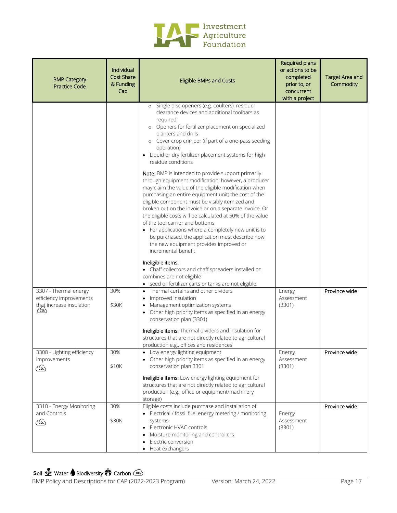

| <b>BMP Category</b><br><b>Practice Code</b>                                            | Individual<br><b>Cost Share</b><br>& Funding<br>Cap | <b>Eligible BMPs and Costs</b>                                                                                                                                                                                                                                                                                                                                                                                                                                                                                                                                                                                      | Required plans<br>or actions to be<br>completed<br>prior to, or<br>concurrent<br>with a project | <b>Target Area and</b><br>Commodity |
|----------------------------------------------------------------------------------------|-----------------------------------------------------|---------------------------------------------------------------------------------------------------------------------------------------------------------------------------------------------------------------------------------------------------------------------------------------------------------------------------------------------------------------------------------------------------------------------------------------------------------------------------------------------------------------------------------------------------------------------------------------------------------------------|-------------------------------------------------------------------------------------------------|-------------------------------------|
|                                                                                        |                                                     | Single disc openers (e.g. coulters), residue<br>$\circ$<br>clearance devices and additional toolbars as<br>required<br>Openers for fertilizer placement on specialized<br>$\circ$<br>planters and drills<br>o Cover crop crimper (if part of a one-pass seeding<br>operation)<br>• Liquid or dry fertilizer placement systems for high<br>residue conditions                                                                                                                                                                                                                                                        |                                                                                                 |                                     |
|                                                                                        |                                                     | Note: BMP is intended to provide support primarily<br>through equipment modification; however, a producer<br>may claim the value of the eligible modification when<br>purchasing an entire equipment unit; the cost of the<br>eligible component must be visibly itemized and<br>broken out on the invoice or on a separate invoice. Or<br>the eligible costs will be calculated at 50% of the value<br>of the tool carrier and bottoms<br>• For applications where a completely new unit is to<br>be purchased, the application must describe how<br>the new equipment provides improved or<br>incremental benefit |                                                                                                 |                                     |
|                                                                                        |                                                     | Ineligible items:<br>• Chaff collectors and chaff spreaders installed on<br>combines are not eligible<br>• seed or fertilizer carts or tanks are not eligible.                                                                                                                                                                                                                                                                                                                                                                                                                                                      |                                                                                                 |                                     |
| 3307 - Thermal energy<br>efficiency improvements<br>that increase insulation<br>( co ) | 30%<br>\$30K                                        | • Thermal curtains and other dividers<br>Improved insulation<br>٠<br>Management optimization systems<br>Other high priority items as specified in an energy<br>$\bullet$<br>conservation plan (3301)<br>Ineligible items: Thermal dividers and insulation for                                                                                                                                                                                                                                                                                                                                                       | Energy<br>Assessment<br>(3301)                                                                  | Province wide                       |
|                                                                                        |                                                     | structures that are not directly related to agricultural<br>production e.g., offices and residences                                                                                                                                                                                                                                                                                                                                                                                                                                                                                                                 |                                                                                                 |                                     |
| 3308 - Lighting efficiency<br>improvements<br>$\sim$                                   | 30%<br>\$10K                                        | Low energy lighting equipment<br>Other high priority items as specified in an energy<br>conservation plan 3301                                                                                                                                                                                                                                                                                                                                                                                                                                                                                                      | Energy<br>Assessment<br>(3301)                                                                  | Province wide                       |
|                                                                                        |                                                     | Ineligible items: Low energy lighting equipment for<br>structures that are not directly related to agricultural<br>production (e.g., office or equipment/machinery<br>storage)                                                                                                                                                                                                                                                                                                                                                                                                                                      |                                                                                                 |                                     |
| 3310 - Energy Monitoring<br>and Controls<br>⁄∞ි                                        | 30%<br>\$30K                                        | Eligible costs include purchase and installation of:<br>• Electrical / fossil fuel energy metering / monitoring<br>systems<br>• Electronic HVAC controls<br>Moisture monitoring and controllers<br>٠<br>Electric conversion<br>Heat exchangers                                                                                                                                                                                                                                                                                                                                                                      | Energy<br>Assessment<br>(3301)                                                                  | Province wide                       |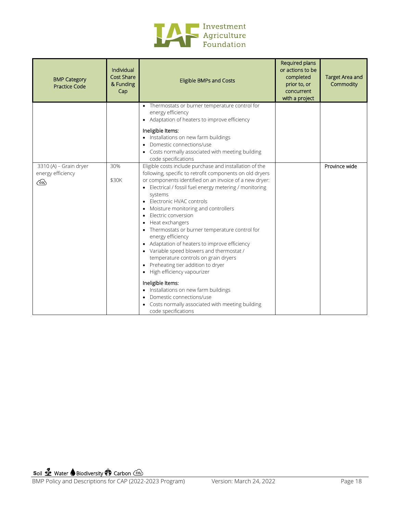

| <b>BMP Category</b><br><b>Practice Code</b>       | Individual<br><b>Cost Share</b><br>& Funding<br>Cap | <b>Eligible BMPs and Costs</b>                                                                                                                                                                                                                                                                                                                                                                                                                                                                                                                                                                                                                                                                                                                                                                                   | Required plans<br>or actions to be<br>completed<br>prior to, or<br>concurrent<br>with a project | <b>Target Area and</b><br>Commodity |
|---------------------------------------------------|-----------------------------------------------------|------------------------------------------------------------------------------------------------------------------------------------------------------------------------------------------------------------------------------------------------------------------------------------------------------------------------------------------------------------------------------------------------------------------------------------------------------------------------------------------------------------------------------------------------------------------------------------------------------------------------------------------------------------------------------------------------------------------------------------------------------------------------------------------------------------------|-------------------------------------------------------------------------------------------------|-------------------------------------|
|                                                   |                                                     | • Thermostats or burner temperature control for<br>energy efficiency<br>• Adaptation of heaters to improve efficiency                                                                                                                                                                                                                                                                                                                                                                                                                                                                                                                                                                                                                                                                                            |                                                                                                 |                                     |
|                                                   |                                                     | Ineligible Items:<br>• Installations on new farm buildings<br>Domestic connections/use<br>Costs normally associated with meeting building<br>code specifications                                                                                                                                                                                                                                                                                                                                                                                                                                                                                                                                                                                                                                                 |                                                                                                 |                                     |
| 3310 (A) - Grain dryer<br>energy efficiency<br>ැං | 30%<br>\$30K                                        | Eligible costs include purchase and installation of the<br>following, specific to retrofit components on old dryers<br>or components identified on an invoice of a new dryer:<br>• Electrical / fossil fuel energy metering / monitoring<br>systems<br>Electronic HVAC controls<br>Moisture monitoring and controllers<br>٠<br>Electric conversion<br>$\bullet$<br>Heat exchangers<br>Thermostats or burner temperature control for<br>energy efficiency<br>• Adaptation of heaters to improve efficiency<br>• Variable speed blowers and thermostat /<br>temperature controls on grain dryers<br>• Preheating tier addition to dryer<br>• High efficiency vapourizer<br>Ineligible Items:<br>Installations on new farm buildings<br>Domestic connections/use<br>Costs normally associated with meeting building |                                                                                                 | Province wide                       |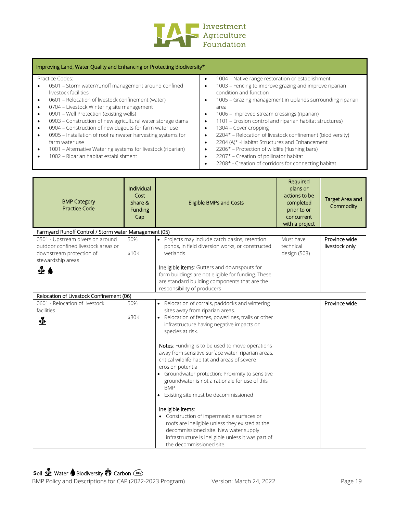

#### Practice Codes:

- 0501 Storm water/runoff management around confined livestock facilities
- 0601 Relocation of livestock confinement (water)
- 0704 Livestock Wintering site management
- 0901 Well Protection (existing wells)
- 0903 Construction of new agricultural water storage dams
- 0904 Construction of new dugouts for farm water use
- 0905 Installation of roof rainwater harvesting systems for farm water use
- 1001 Alternative Watering systems for livestock (riparian)
- 1002 Riparian habitat establishment

• 1004 – Native range restoration or establishment

- 1003 Fencing to improve grazing and improve riparian condition and function
- 1005 Grazing management in uplands surrounding riparian area
- 1006 Improved stream crossings (riparian)
- 1101 Erosion control and riparian habitat structures)
- 1304 Cover cropping
- 2204\* Relocation of livestock confinement (biodiversity)
- 2204 (A)\* -Habitat Structures and Enhancement
- 2206\* Protection of wildlife (flushing bars)
- 2207\* Creation of pollinator habitat
- 2208\* Creation of corridors for connecting habitat

| <b>BMP Category</b><br><b>Practice Code</b>                                                                              | Individual<br>Cost<br>Share &<br><b>Funding</b><br>Cap | <b>Eligible BMPs and Costs</b>                                                                                                                                                                                                                                                                                                                                                                                                                                                                                                                                                                                            | Required<br>plans or<br>actions to be<br>completed<br>prior to or<br>concurrent<br>with a project | <b>Target Area and</b><br>Commodity |
|--------------------------------------------------------------------------------------------------------------------------|--------------------------------------------------------|---------------------------------------------------------------------------------------------------------------------------------------------------------------------------------------------------------------------------------------------------------------------------------------------------------------------------------------------------------------------------------------------------------------------------------------------------------------------------------------------------------------------------------------------------------------------------------------------------------------------------|---------------------------------------------------------------------------------------------------|-------------------------------------|
| Farmyard Runoff Control / Storm water Management (05)                                                                    |                                                        |                                                                                                                                                                                                                                                                                                                                                                                                                                                                                                                                                                                                                           |                                                                                                   |                                     |
| 0501 - Upstream diversion around<br>outdoor confined livestock areas or<br>downstream protection of<br>stewardship areas | 50%<br>\$10K                                           | • Projects may include catch basins, retention<br>ponds, in field diversion works, or constructed<br>wetlands                                                                                                                                                                                                                                                                                                                                                                                                                                                                                                             | Must have<br>technical<br>design (503)                                                            | Province wide<br>livestock only     |
| $\triangle$ $\bullet$                                                                                                    |                                                        | Ineligible items: Gutters and downspouts for<br>farm buildings are not eligible for funding. These<br>are standard building components that are the<br>responsibility of producers                                                                                                                                                                                                                                                                                                                                                                                                                                        |                                                                                                   |                                     |
| Relocation of Livestock Confinement (06)                                                                                 |                                                        |                                                                                                                                                                                                                                                                                                                                                                                                                                                                                                                                                                                                                           |                                                                                                   |                                     |
| 0601 - Relocation of livestock<br>facilities<br>≰                                                                        | 50%<br>\$30K                                           | • Relocation of corrals, paddocks and wintering<br>sites away from riparian areas.<br>• Relocation of fences, powerlines, trails or other<br>infrastructure having negative impacts on<br>species at risk.<br>Notes: Funding is to be used to move operations<br>away from sensitive surface water, riparian areas,<br>critical wildlife habitat and areas of severe<br>erosion potential<br>• Groundwater protection: Proximity to sensitive<br>groundwater is not a rationale for use of this<br><b>BMP</b><br>• Existing site must be decommissioned<br>Ineligible items:<br>• Construction of impermeable surfaces or |                                                                                                   | Province wide                       |
|                                                                                                                          |                                                        | roofs are ineligible unless they existed at the<br>decommissioned site. New water supply<br>infrastructure is ineligible unless it was part of<br>the decommissioned site.                                                                                                                                                                                                                                                                                                                                                                                                                                                |                                                                                                   |                                     |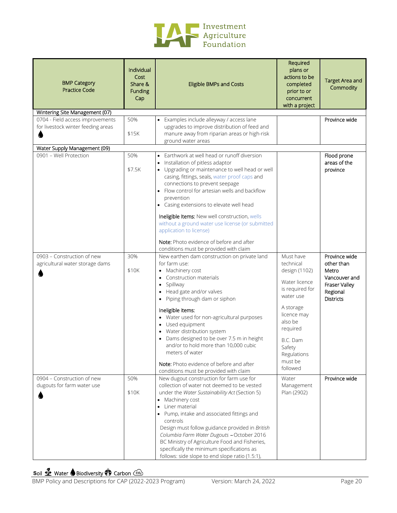

| <b>BMP Category</b><br><b>Practice Code</b>                            | Individual<br>Cost<br>Share &<br>Funding<br>Cap | <b>Eligible BMPs and Costs</b>                                                                                                                                                                                                                                                                                                                                                                                                                                                              | Required<br>plans or<br>actions to be<br>completed<br>prior to or<br>concurrent<br>with a project                                           | <b>Target Area and</b><br>Commodity                                                                    |
|------------------------------------------------------------------------|-------------------------------------------------|---------------------------------------------------------------------------------------------------------------------------------------------------------------------------------------------------------------------------------------------------------------------------------------------------------------------------------------------------------------------------------------------------------------------------------------------------------------------------------------------|---------------------------------------------------------------------------------------------------------------------------------------------|--------------------------------------------------------------------------------------------------------|
| Wintering Site Management (07)                                         |                                                 |                                                                                                                                                                                                                                                                                                                                                                                                                                                                                             |                                                                                                                                             |                                                                                                        |
| 0704 - Field access improvements<br>for livestock winter feeding areas | 50%<br>\$15K                                    | • Examples include alleyway / access lane<br>upgrades to improve distribution of feed and<br>manure away from riparian areas or high-risk<br>ground water areas                                                                                                                                                                                                                                                                                                                             |                                                                                                                                             | Province wide                                                                                          |
| Water Supply Management (09)                                           |                                                 |                                                                                                                                                                                                                                                                                                                                                                                                                                                                                             |                                                                                                                                             |                                                                                                        |
| 0901 - Well Protection                                                 | 50%<br>\$7.5K                                   | • Earthwork at well head or runoff diversion<br>Installation of pitless adaptor<br>• Upgrading or maintenance to well head or well<br>casing, fittings, seals, water proof caps and<br>connections to prevent seepage<br>• Flow control for artesian wells and backflow<br>prevention<br>• Casing extensions to elevate well head<br>Ineligible Items: New well construction, wells                                                                                                         |                                                                                                                                             | Flood prone<br>areas of the<br>province                                                                |
|                                                                        |                                                 | without a ground water use license (or submitted<br>application to license)<br>Note: Photo evidence of before and after<br>conditions must be provided with claim                                                                                                                                                                                                                                                                                                                           |                                                                                                                                             |                                                                                                        |
| 0903 - Construction of new<br>agricultural water storage dams          | 30%<br>\$10K                                    | New earthen dam construction on private land<br>for farm use:<br>Machinery cost<br>Construction materials<br>Spillway<br>$\bullet$<br>Head gate and/or valves<br>$\bullet$<br>Piping through dam or siphon<br>$\bullet$<br>Ineligible items:<br>• Water used for non-agricultural purposes<br>Used equipment                                                                                                                                                                                | Must have<br>technical<br>design (1102)<br>Water licence<br>is required for<br>water use<br>A storage<br>licence may<br>also be<br>required | Province wide<br>other than<br>Metro<br>Vancouver and<br>Fraser Valley<br>Regional<br><b>Districts</b> |
|                                                                        |                                                 | Water distribution system<br>Dams designed to be over 7.5 m in height<br>and/or to hold more than 10,000 cubic<br>meters of water<br>Note: Photo evidence of before and after<br>conditions must be provided with claim                                                                                                                                                                                                                                                                     | B.C. Dam<br>Safety<br>Regulations<br>must be<br>followed                                                                                    |                                                                                                        |
| 0904 - Construction of new<br>dugouts for farm water use               | 50%<br>\$10K                                    | New dugout construction for farm use for<br>collection of water not deemed to be vested<br>under the Water Sustainability Act (Section 5)<br>• Machinery cost<br>Liner material<br>Pump, intake and associated fittings and<br>controls<br>Design must follow guidance provided in British<br>Columbia Farm Water Dugouts - October 2016<br>BC Ministry of Agriculture Food and Fisheries,<br>specifically the minimum specifications as<br>follows: side slope to end slope ratio (1.5:1), | Water<br>Management<br>Plan (2902)                                                                                                          | Province wide                                                                                          |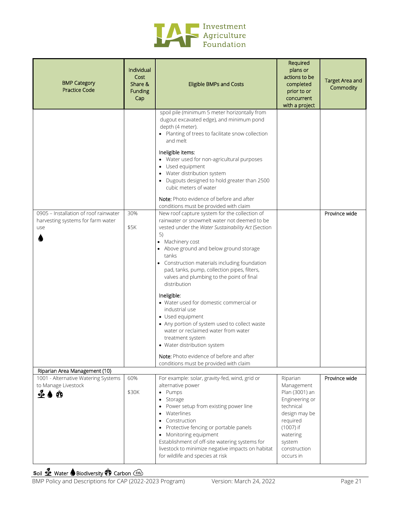

| <b>BMP Category</b><br><b>Practice Code</b>                                       | Individual<br>Cost<br>Share &<br>Funding<br>Cap | <b>Eligible BMPs and Costs</b><br>spoil pile (minimum 5 meter horizontally from                                                                                                                                                                                                                                                                                                                                                                                                                                                                                                                                                                                                                                                                                                                                                                                                                                                                                                                                                                                                                                                                      | Required<br>plans or<br>actions to be<br>completed<br>prior to or<br>concurrent<br>with a project                                                                    | <b>Target Area and</b><br>Commodity |
|-----------------------------------------------------------------------------------|-------------------------------------------------|------------------------------------------------------------------------------------------------------------------------------------------------------------------------------------------------------------------------------------------------------------------------------------------------------------------------------------------------------------------------------------------------------------------------------------------------------------------------------------------------------------------------------------------------------------------------------------------------------------------------------------------------------------------------------------------------------------------------------------------------------------------------------------------------------------------------------------------------------------------------------------------------------------------------------------------------------------------------------------------------------------------------------------------------------------------------------------------------------------------------------------------------------|----------------------------------------------------------------------------------------------------------------------------------------------------------------------|-------------------------------------|
| 0905 - Installation of roof rainwater<br>harvesting systems for farm water<br>use | 30%<br>\$5K                                     | dugout excavated edge), and minimum pond<br>depth (4 meter).<br>• Planting of trees to facilitate snow collection<br>and melt<br>Ineligible items:<br>• Water used for non-agricultural purposes<br>• Used equipment<br>• Water distribution system<br>Dugouts designed to hold greater than 2500<br>cubic meters of water<br>Note: Photo evidence of before and after<br>conditions must be provided with claim<br>New roof capture system for the collection of<br>rainwater or snowmelt water not deemed to be<br>vested under the Water Sustainability Act (Section<br>5)<br>• Machinery cost<br>• Above ground and below ground storage<br>tanks<br>• Construction materials including foundation<br>pad, tanks, pump, collection pipes, filters,<br>valves and plumbing to the point of final<br>distribution<br>Ineligible:<br>• Water used for domestic commercial or<br>industrial use<br>• Used equipment<br>• Any portion of system used to collect waste<br>water or reclaimed water from water<br>treatment system<br>• Water distribution system<br>Note: Photo evidence of before and after<br>conditions must be provided with claim |                                                                                                                                                                      | Province wide                       |
| Riparian Area Management (10)<br>1001 - Alternative Watering Systems              | 60%                                             | For example: solar, gravity-fed, wind, grid or                                                                                                                                                                                                                                                                                                                                                                                                                                                                                                                                                                                                                                                                                                                                                                                                                                                                                                                                                                                                                                                                                                       |                                                                                                                                                                      | Province wide                       |
| to Manage Livestock<br>$\leftrightarrow$ $\bullet$ $\circ$                        | \$30K                                           | alternative power<br>• Pumps<br>Storage<br>Power setup from existing power line<br>Waterlines<br>Construction<br>Protective fencing or portable panels<br>• Monitoring equipment<br>Establishment of off-site watering systems for<br>livestock to minimize negative impacts on habitat<br>for wildlife and species at risk                                                                                                                                                                                                                                                                                                                                                                                                                                                                                                                                                                                                                                                                                                                                                                                                                          | Riparian<br>Management<br>Plan (3001) an<br>Engineering or<br>technical<br>design may be<br>required<br>(1007) if<br>watering<br>system<br>construction<br>occurs in |                                     |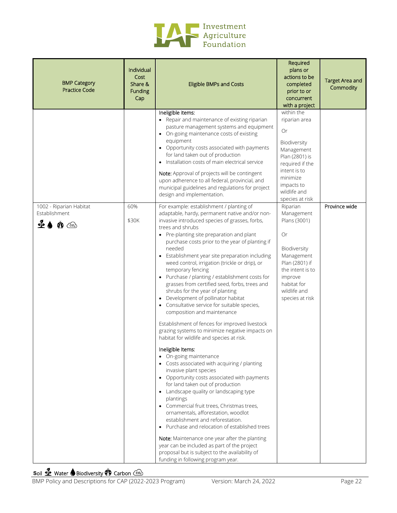

| <b>BMP Category</b><br><b>Practice Code</b>                                       | Individual<br>Cost<br>Share &<br><b>Funding</b><br>Cap | <b>Eligible BMPs and Costs</b>                                                                                                                                                                                                                                                                                                                                                                                                                                                                                                                                                                                                                                                                                                                                                                                                                                                                                                                                                                                                                                                                                                                                                                                                                                                                                                                                                                                                                            | Required<br>plans or<br>actions to be<br>completed<br>prior to or<br>concurrent<br>with a project                                                                                 | <b>Target Area and</b><br>Commodity |
|-----------------------------------------------------------------------------------|--------------------------------------------------------|-----------------------------------------------------------------------------------------------------------------------------------------------------------------------------------------------------------------------------------------------------------------------------------------------------------------------------------------------------------------------------------------------------------------------------------------------------------------------------------------------------------------------------------------------------------------------------------------------------------------------------------------------------------------------------------------------------------------------------------------------------------------------------------------------------------------------------------------------------------------------------------------------------------------------------------------------------------------------------------------------------------------------------------------------------------------------------------------------------------------------------------------------------------------------------------------------------------------------------------------------------------------------------------------------------------------------------------------------------------------------------------------------------------------------------------------------------------|-----------------------------------------------------------------------------------------------------------------------------------------------------------------------------------|-------------------------------------|
|                                                                                   |                                                        | Ineligible items:<br>• Repair and maintenance of existing riparian<br>pasture management systems and equipment<br>• On-going maintenance costs of existing<br>equipment<br>• Opportunity costs associated with payments<br>for land taken out of production<br>Installation costs of main electrical service<br>Note: Approval of projects will be contingent<br>upon adherence to all federal, provincial, and<br>municipal guidelines and regulations for project<br>design and implementation.                                                                                                                                                                                                                                                                                                                                                                                                                                                                                                                                                                                                                                                                                                                                                                                                                                                                                                                                                         | within the<br>riparian area<br>Or<br>Biodiversity<br>Management<br>Plan (2801) is<br>required if the<br>intent is to<br>minimize<br>impacts to<br>wildlife and<br>species at risk |                                     |
| 1002 - Riparian Habitat<br>Establishment<br>$\bullet$ $\bullet$ $\bullet$ $\circ$ | 60%<br>\$30K                                           | For example: establishment / planting of<br>adaptable, hardy, permanent native and/or non-<br>invasive introduced species of grasses, forbs,<br>trees and shrubs<br>• Pre-planting site preparation and plant<br>purchase costs prior to the year of planting if<br>needed<br>• Establishment year site preparation including<br>weed control, irrigation (trickle or drip), or<br>temporary fencing<br>• Purchase / planting / establishment costs for<br>grasses from certified seed, forbs, trees and<br>shrubs for the year of planting<br>Development of pollinator habitat<br>• Consultative service for suitable species,<br>composition and maintenance<br>Establishment of fences for improved livestock<br>grazing systems to minimize negative impacts on<br>habitat for wildlife and species at risk.<br>Ineligible Items:<br>• On-going maintenance<br>• Costs associated with acquiring / planting<br>invasive plant species<br>• Opportunity costs associated with payments<br>for land taken out of production<br>• Landscape quality or landscaping type<br>plantings<br>• Commercial fruit trees, Christmas trees,<br>ornamentals, afforestation, woodlot<br>establishment and reforestation.<br>• Purchase and relocation of established trees<br>Note: Maintenance one year after the planting<br>year can be included as part of the project<br>proposal but is subject to the availability of<br>funding in following program year. | Riparian<br>Management<br>Plans (3001)<br>Or<br>Biodiversity<br>Management<br>Plan (2801) if<br>the intent is to<br>improve<br>habitat for<br>wildlife and<br>species at risk     | Province wide                       |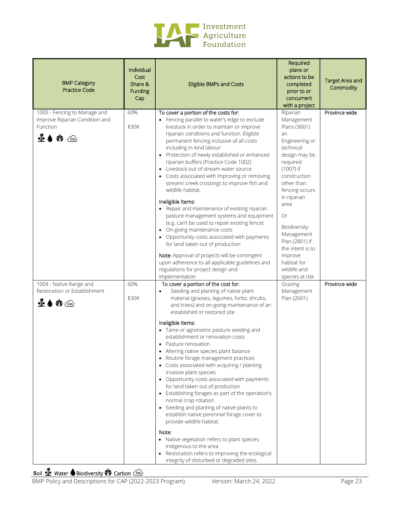

| <b>BMP Category</b><br><b>Practice Code</b>                                                                         | Individual<br>Cost<br>Share &<br>Funding<br>Cap | <b>Eligible BMPs and Costs</b>                                                                                                                                                                                                                                                                                                                                                                                                                                                                                                                                                                                                                                                                                                                                                                                                                                                                                                                                                         | Required<br>plans or<br>actions to be<br>completed<br>prior to or<br>concurrent<br>with a project                                                                                                                                                                                                                                   | <b>Target Area and</b><br>Commodity |
|---------------------------------------------------------------------------------------------------------------------|-------------------------------------------------|----------------------------------------------------------------------------------------------------------------------------------------------------------------------------------------------------------------------------------------------------------------------------------------------------------------------------------------------------------------------------------------------------------------------------------------------------------------------------------------------------------------------------------------------------------------------------------------------------------------------------------------------------------------------------------------------------------------------------------------------------------------------------------------------------------------------------------------------------------------------------------------------------------------------------------------------------------------------------------------|-------------------------------------------------------------------------------------------------------------------------------------------------------------------------------------------------------------------------------------------------------------------------------------------------------------------------------------|-------------------------------------|
| 1003 - Fencing to Manage and<br>Improve Riparian Condition and<br>Function<br>£♦ �� ⓒ                               | 60%<br>\$30K                                    | To cover a portion of the costs for:<br>• Fencing parallel to water's edge to exclude<br>livestock in order to maintain or improve<br>riparian conditions and function. Eligible<br>permanent fencing inclusive of all costs<br>including in-kind labour<br>• Protection of newly established or enhanced<br>riparian buffers (Practice Code 1002)<br>Livestock out of stream water source<br>Costs associated with improving or removing<br>stream/creek crossings to improve fish and<br>wildlife habitat.<br>Ineligible Items:<br>• Repair and maintenance of existing riparian<br>pasture management systems and equipment<br>(e.g. can't be used to repair existing fence)<br>• On-going maintenance costs<br>• Opportunity costs associated with payments<br>for land taken out of production<br>Note: Approval of projects will be contingent<br>upon adherence to all applicable guidelines and<br>regulations for project design and<br>implementation                        | Riparian<br>Management<br>Plans (3001)<br>an<br>Engineering or<br>technical<br>design may be<br>required<br>(1007) if<br>construction<br>other than<br>fencing occurs<br>in riparian<br>area<br>Or<br>Biodiversity<br>Management<br>Plan (2801) if<br>the intent is to<br>improve<br>habitat for<br>wildlife and<br>species at risk | Province wide                       |
| 1004 - Native Range and<br>Restoration or Establishment<br>$\mathbf{P} \spadesuit \spadesuit \spadesuit \spadesuit$ | 60%<br>\$30K                                    | To cover a portion of the cost for:<br>Seeding and planting of native plant<br>$\bullet$<br>material (grasses, legumes, forbs, shrubs,<br>and trees) and on-going maintenance of an<br>established or restored site<br>Ineligible Items:<br>• Tame or agronomic pasture seeding and<br>establishment or renovation costs<br>• Pasture renovation<br>Altering native species plant balance<br>Routine forage management practices<br>• Costs associated with acquiring / planting<br>invasive plant species<br>• Opportunity costs associated with payments<br>for land taken out of production<br>• Establishing forages as part of the operation's<br>normal crop rotation<br>• Seeding and planting of native plants to<br>establish native perennial forage cover to<br>provide wildlife habitat.<br>Note:<br>• Native vegetation refers to plant species<br>indigenous to the area.<br>Restoration refers to improving the ecological<br>integrity of disturbed or degraded sites. | Grazing<br>Management<br>Plan (2601)                                                                                                                                                                                                                                                                                                | Province wide                       |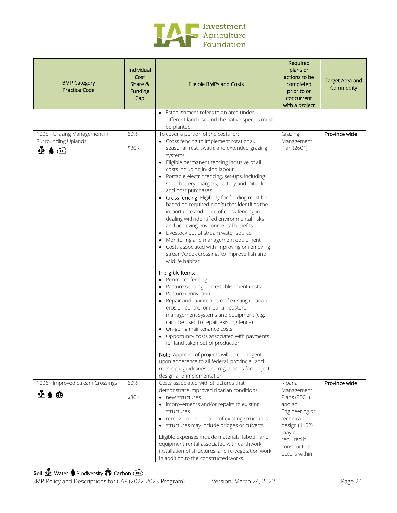

| <b>BMP Category</b><br><b>Practice Code</b>                        | Individual<br>Cost<br>Share &<br>Funding<br>Cap | <b>Eligible BMPs and Costs</b>                                                                                                                                                                                                                                                                                                                                                                                                                                                                                                                                                                                                                                                                                                                                                                                                                                                                                                                                                                                                                                                                                                                                                                                                                                                                                                                                          | Required<br>plans or<br>actions to be<br>completed<br>prior to or<br>concurrent<br>with a project                                                          | <b>Target Area and</b><br>Commodity |
|--------------------------------------------------------------------|-------------------------------------------------|-------------------------------------------------------------------------------------------------------------------------------------------------------------------------------------------------------------------------------------------------------------------------------------------------------------------------------------------------------------------------------------------------------------------------------------------------------------------------------------------------------------------------------------------------------------------------------------------------------------------------------------------------------------------------------------------------------------------------------------------------------------------------------------------------------------------------------------------------------------------------------------------------------------------------------------------------------------------------------------------------------------------------------------------------------------------------------------------------------------------------------------------------------------------------------------------------------------------------------------------------------------------------------------------------------------------------------------------------------------------------|------------------------------------------------------------------------------------------------------------------------------------------------------------|-------------------------------------|
|                                                                    |                                                 | Establishment refers to an area under<br>$\bullet$<br>different land use and the native species must<br>be planted                                                                                                                                                                                                                                                                                                                                                                                                                                                                                                                                                                                                                                                                                                                                                                                                                                                                                                                                                                                                                                                                                                                                                                                                                                                      |                                                                                                                                                            |                                     |
| 1005 - Grazing Management in<br>Surrounding Uplands<br>⊲∤้∍<br>ැගි | 60%<br>\$30K                                    | To cover a portion of the costs for:<br>Cross fencing to implement rotational,<br>seasonal, rest, swath, and extended grazing<br>systems<br>Eligible permanent fencing inclusive of all<br>$\bullet$<br>costs including in-kind labour<br>Portable electric fencing, set-ups, including<br>solar battery chargers, battery and initial line<br>and post purchases<br>• Cross fencing: Eligibility for funding must be<br>based on required plan(s) that identifies the<br>importance and value of cross fencing in<br>dealing with identified environmental risks<br>and achieving environmental benefits<br>Livestock out of stream water source<br>$\bullet$<br>Monitoring and management equipment<br>Costs associated with improving or removing<br>stream/creek crossings to improve fish and<br>wildlife habitat.<br>Ineligible Items:<br>Perimeter fencing<br>Pasture seeding and establishment costs<br>$\bullet$<br>Pasture renovation<br>Repair and maintenance of existing riparian<br>$\bullet$<br>erosion control or riparian pasture<br>management systems and equipment (e.g.<br>can't be used to repair existing fence)<br>On-going maintenance costs<br>$\bullet$<br>Opportunity costs associated with payments<br>for land taken out of production<br>Note: Approval of projects will be contingent<br>upon adherence to all federal, provincial, and | Grazing<br>Management<br>Plan (2601)                                                                                                                       | Province wide                       |
|                                                                    |                                                 | municipal guidelines and regulations for project<br>design and implementation                                                                                                                                                                                                                                                                                                                                                                                                                                                                                                                                                                                                                                                                                                                                                                                                                                                                                                                                                                                                                                                                                                                                                                                                                                                                                           |                                                                                                                                                            |                                     |
| 1006 - Improved Stream Crossings<br>$-26$                          | 60%<br>\$30K                                    | Costs associated with structures that<br>demonstrate improved riparian conditions:<br>• new structures<br>• improvements and/or repairs to existing<br>structures<br>• removal or re-location of existing structures<br>• structures may include bridges or culverts<br>Eligible expenses include materials, labour, and<br>equipment rental associated with earthwork,<br>installation of structures, and re-vegetation work<br>in addition to the constructed works.                                                                                                                                                                                                                                                                                                                                                                                                                                                                                                                                                                                                                                                                                                                                                                                                                                                                                                  | Riparian<br>Management<br>Plans (3001)<br>and an<br>Engineering or<br>technical<br>design (1102)<br>may be<br>required if<br>construction<br>occurs within | Province wide                       |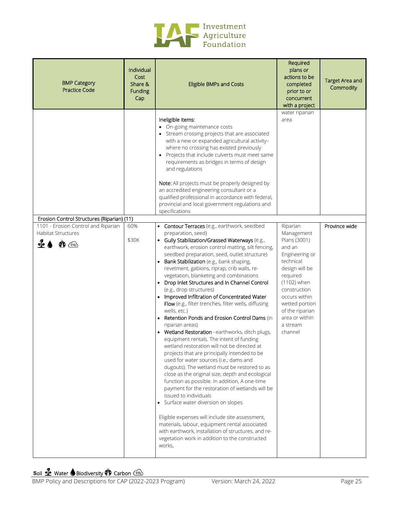

| <b>BMP Category</b><br><b>Practice Code</b>                                                                                                              | Individual<br>Cost<br>Share &<br><b>Funding</b><br>Cap | <b>Eligible BMPs and Costs</b>                                                                                                                                                                                                                                                                                                                                                                                                                                                                                                                                                                                                                                                                                                                                                                                                                                                                                                                                                                                                                                                                                                                                                                                                                                                                                                                                                      | Required<br>plans or<br>actions to be<br>completed<br>prior to or<br>concurrent<br>with a project                                                                                                                                           | <b>Target Area and</b><br>Commodity |
|----------------------------------------------------------------------------------------------------------------------------------------------------------|--------------------------------------------------------|-------------------------------------------------------------------------------------------------------------------------------------------------------------------------------------------------------------------------------------------------------------------------------------------------------------------------------------------------------------------------------------------------------------------------------------------------------------------------------------------------------------------------------------------------------------------------------------------------------------------------------------------------------------------------------------------------------------------------------------------------------------------------------------------------------------------------------------------------------------------------------------------------------------------------------------------------------------------------------------------------------------------------------------------------------------------------------------------------------------------------------------------------------------------------------------------------------------------------------------------------------------------------------------------------------------------------------------------------------------------------------------|---------------------------------------------------------------------------------------------------------------------------------------------------------------------------------------------------------------------------------------------|-------------------------------------|
|                                                                                                                                                          |                                                        | Ineligible items:<br>• On-going maintenance costs<br>• Stream crossing projects that are associated<br>with a new or expanded agricultural activity-<br>where no crossing has existed previously<br>• Projects that include culverts must meet same<br>requirements as bridges in terms of design<br>and regulations<br>Note: All projects must be properly designed by<br>an accredited engineering consultant or a<br>qualified professional in accordance with federal,<br>provincial and local government regulations and<br>specifications                                                                                                                                                                                                                                                                                                                                                                                                                                                                                                                                                                                                                                                                                                                                                                                                                                     | water riparian<br>area                                                                                                                                                                                                                      |                                     |
| Erosion Control Structures (Riparian) (11)<br>1101 - Erosion Control and Riparian<br><b>Habitat Structures</b><br>$\frac{q}{2}$<br>$\mathbf{\Phi} \odot$ | 60%<br>\$30K                                           | • Contour Terraces (e.g., earthwork, seedbed<br>preparation, seed)<br>• Gully Stabilization/Grassed Waterways (e.g.,<br>earthwork, erosion control matting, silt fencing,<br>seedbed preparation, seed, outlet structure)<br>• Bank Stabilization (e.g., bank shaping,<br>revetment, gabions, riprap, crib walls, re-<br>vegetation, blanketing and combinations<br>• Drop Inlet Structures and In Channel Control<br>(e.g., drop structures)<br>• Improved Infiltration of Concentrated Water<br>Flow (e.g., filter trenches, filter wells, diffusing<br>wells, etc.)<br>• Retention Ponds and Erosion Control Dams (in<br>riparian areas)<br>• Wetland Restoration -earthworks, ditch plugs,<br>equipment rentals. The intent of funding<br>wetland restoration will not be directed at<br>projects that are principally intended to be<br>used for water sources (i.e.; dams and<br>dugouts). The wetland must be restored to as<br>close as the original size, depth and ecological<br>function as possible. In addition, A one-time<br>payment for the restoration of wetlands will be<br>issued to individuals<br>• Surface water diversion on slopes<br>Eligible expenses will include site assessment,<br>materials, labour, equipment rental associated<br>with earthwork, installation of structures, and re-<br>vegetation work in addition to the constructed<br>works. | Riparian<br>Management<br>Plans (3001)<br>and an<br>Engineering or<br>technical<br>design will be<br>required<br>(1102) when<br>construction<br>occurs within<br>wetted portion<br>of the riparian<br>area or within<br>a stream<br>channel | Province wide                       |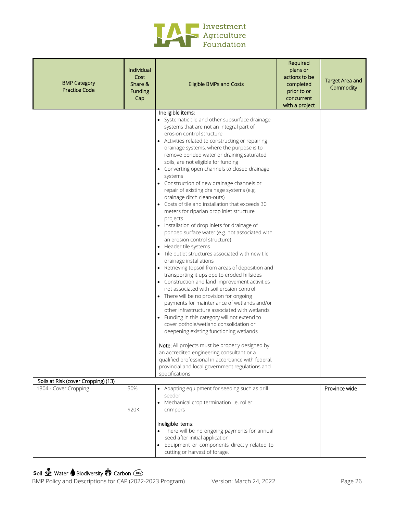

| <b>BMP Category</b><br><b>Practice Code</b> | Individual<br>Cost<br>Share &<br>Funding<br>Cap | <b>Eligible BMPs and Costs</b>                                                                                                                                                                                                                                                                                                                                                                                                                                                                                                                                                                                                                                                                                                                                                                                                                                                                                                                                                                                                                                                                                                                                                                                                                                                                                                                                                                                                                                                                                                                                                                  | Required<br>plans or<br>actions to be<br>completed<br>prior to or<br>concurrent<br>with a project | <b>Target Area and</b><br>Commodity |
|---------------------------------------------|-------------------------------------------------|-------------------------------------------------------------------------------------------------------------------------------------------------------------------------------------------------------------------------------------------------------------------------------------------------------------------------------------------------------------------------------------------------------------------------------------------------------------------------------------------------------------------------------------------------------------------------------------------------------------------------------------------------------------------------------------------------------------------------------------------------------------------------------------------------------------------------------------------------------------------------------------------------------------------------------------------------------------------------------------------------------------------------------------------------------------------------------------------------------------------------------------------------------------------------------------------------------------------------------------------------------------------------------------------------------------------------------------------------------------------------------------------------------------------------------------------------------------------------------------------------------------------------------------------------------------------------------------------------|---------------------------------------------------------------------------------------------------|-------------------------------------|
| Soils at Risk (cover Cropping) (13)         |                                                 | Ineligible items:<br>• Systematic tile and other subsurface drainage<br>systems that are not an integral part of<br>erosion control structure<br>• Activities related to constructing or repairing<br>drainage systems, where the purpose is to<br>remove ponded water or draining saturated<br>soils, are not eligible for funding<br>• Converting open channels to closed drainage<br>systems<br>• Construction of new drainage channels or<br>repair of existing drainage systems (e.g.<br>drainage ditch clean-outs)<br>• Costs of tile and installation that exceeds 30<br>meters for riparian drop inlet structure<br>projects<br>• Installation of drop inlets for drainage of<br>ponded surface water (e.g. not associated with<br>an erosion control structure)<br>• Header tile systems<br>• Tile outlet structures associated with new tile<br>drainage installations<br>• Retrieving topsoil from areas of deposition and<br>transporting it upslope to eroded hillsides<br>• Construction and land improvement activities<br>not associated with soil erosion control<br>• There will be no provision for ongoing<br>payments for maintenance of wetlands and/or<br>other infrastructure associated with wetlands<br>• Funding in this category will not extend to<br>cover pothole/wetland consolidation or<br>deepening existing functioning wetlands<br>Note: All projects must be properly designed by<br>an accredited engineering consultant or a<br>qualified professional in accordance with federal,<br>provincial and local government regulations and<br>specifications |                                                                                                   |                                     |
| 1304 - Cover Cropping                       | 50%                                             | • Adapting equipment for seeding such as drill                                                                                                                                                                                                                                                                                                                                                                                                                                                                                                                                                                                                                                                                                                                                                                                                                                                                                                                                                                                                                                                                                                                                                                                                                                                                                                                                                                                                                                                                                                                                                  |                                                                                                   | Province wide                       |
|                                             |                                                 | seeder                                                                                                                                                                                                                                                                                                                                                                                                                                                                                                                                                                                                                                                                                                                                                                                                                                                                                                                                                                                                                                                                                                                                                                                                                                                                                                                                                                                                                                                                                                                                                                                          |                                                                                                   |                                     |
|                                             | \$20K                                           | Mechanical crop termination i.e. roller<br>$\bullet$<br>crimpers                                                                                                                                                                                                                                                                                                                                                                                                                                                                                                                                                                                                                                                                                                                                                                                                                                                                                                                                                                                                                                                                                                                                                                                                                                                                                                                                                                                                                                                                                                                                |                                                                                                   |                                     |
|                                             |                                                 | Ineligible items:<br>• There will be no ongoing payments for annual<br>seed after initial application<br>• Equipment or components directly related to<br>cutting or harvest of forage.                                                                                                                                                                                                                                                                                                                                                                                                                                                                                                                                                                                                                                                                                                                                                                                                                                                                                                                                                                                                                                                                                                                                                                                                                                                                                                                                                                                                         |                                                                                                   |                                     |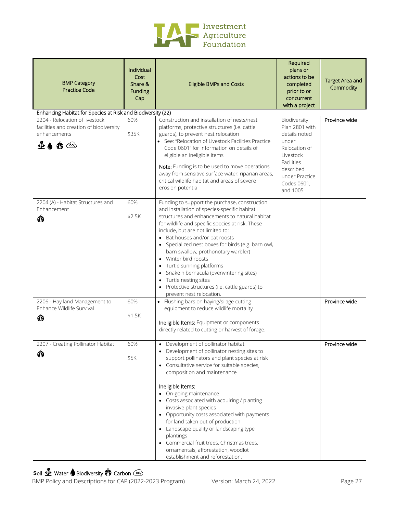

| <b>BMP Category</b><br><b>Practice Code</b>                                                         | Individual<br>Cost<br>Share &<br><b>Funding</b><br>Cap | <b>Eligible BMPs and Costs</b>                                                                                                                                                                                                                                                                                                                                                                                                                                                                                                                                                                                | Required<br>plans or<br>actions to be<br>completed<br>prior to or<br>concurrent<br>with a project                                                              | <b>Target Area and</b><br>Commodity |
|-----------------------------------------------------------------------------------------------------|--------------------------------------------------------|---------------------------------------------------------------------------------------------------------------------------------------------------------------------------------------------------------------------------------------------------------------------------------------------------------------------------------------------------------------------------------------------------------------------------------------------------------------------------------------------------------------------------------------------------------------------------------------------------------------|----------------------------------------------------------------------------------------------------------------------------------------------------------------|-------------------------------------|
| Enhancing Habitat for Species at Risk and Biodiversity (22)                                         |                                                        |                                                                                                                                                                                                                                                                                                                                                                                                                                                                                                                                                                                                               |                                                                                                                                                                |                                     |
| 2204 - Relocation of livestock<br>facilities and creation of biodiversity<br>enhancements<br>4்≜ @் | 60%<br>\$35K                                           | Construction and installation of nests/nest<br>platforms, protective structures (i.e. cattle<br>guards), to prevent nest relocation<br>• See: "Relocation of Livestock Facilities Practice<br>Code 0601" for information on details of<br>eligible an ineligible items<br>Note: Funding is to be used to move operations<br>away from sensitive surface water, riparian areas,<br>critical wildlife habitat and areas of severe<br>erosion potential                                                                                                                                                          | Biodiversity<br>Plan 2801 with<br>details noted<br>under<br>Relocation of<br>Livestock<br>Facilities<br>described<br>under Practice<br>Codes 0601,<br>and 1005 | Province wide                       |
| 2204 (A) - Habitat Structures and<br>Enhancement<br>Ŏ                                               | 60%<br>\$2.5K                                          | Funding to support the purchase, construction<br>and installation of species-specific habitat<br>structures and enhancements to natural habitat<br>for wildlife and specific species at risk. These<br>include, but are not limited to:<br>• Bat houses and/or bat roosts<br>• Specialized nest boxes for birds (e.g. barn owl,<br>barn swallow, prothonotary warbler)<br>Winter bird roosts<br>Turtle sunning platforms<br>Snake hibernacula (overwintering sites)<br>Turtle nesting sites<br>• Protective structures (i.e. cattle guards) to<br>prevent nest relocation.                                    |                                                                                                                                                                |                                     |
| 2206 - Hay land Management to<br>Enhance Wildlife Survival<br>Ŏ                                     | 60%<br>\$1.5K                                          | • Flushing bars on haying/silage cutting<br>equipment to reduce wildlife mortality<br>Ineligible Items: Equipment or components<br>directly related to cutting or harvest of forage.                                                                                                                                                                                                                                                                                                                                                                                                                          |                                                                                                                                                                | Province wide                       |
| 2207 - Creating Pollinator Habitat<br>Ô                                                             | 60%<br>\$5K                                            | • Development of pollinator habitat<br>• Development of pollinator nesting sites to<br>support pollinators and plant species at risk<br>• Consultative service for suitable species,<br>composition and maintenance<br>Ineligible Items:<br>On-going maintenance<br>Costs associated with acquiring / planting<br>invasive plant species<br>• Opportunity costs associated with payments<br>for land taken out of production<br>• Landscape quality or landscaping type<br>plantings<br>• Commercial fruit trees, Christmas trees,<br>ornamentals, afforestation, woodlot<br>establishment and reforestation. |                                                                                                                                                                | Province wide                       |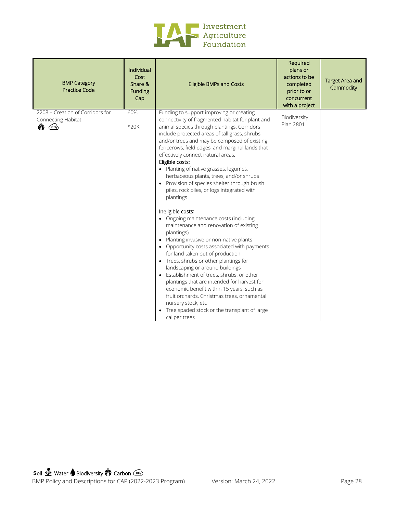

| <b>BMP Category</b><br><b>Practice Code</b>                                                | Individual<br>Cost<br>Share &<br><b>Funding</b><br>Cap | <b>Eligible BMPs and Costs</b>                                                                                                                                                                                                                                                                                                                                                                                                                                                                                                                                                                                                                                                                                                                                                                                                                                                                                                                                                                                                                                                                                                                                                                               | Required<br>plans or<br>actions to be<br>completed<br>prior to or<br>concurrent<br>with a project | <b>Target Area and</b><br>Commodity |
|--------------------------------------------------------------------------------------------|--------------------------------------------------------|--------------------------------------------------------------------------------------------------------------------------------------------------------------------------------------------------------------------------------------------------------------------------------------------------------------------------------------------------------------------------------------------------------------------------------------------------------------------------------------------------------------------------------------------------------------------------------------------------------------------------------------------------------------------------------------------------------------------------------------------------------------------------------------------------------------------------------------------------------------------------------------------------------------------------------------------------------------------------------------------------------------------------------------------------------------------------------------------------------------------------------------------------------------------------------------------------------------|---------------------------------------------------------------------------------------------------|-------------------------------------|
| 2208 - Creation of Corridors for<br>Connecting Habitat<br>$\bigcirc$ $\bigcirc$ $\bigcirc$ | 60%<br>\$20K                                           | Funding to support improving or creating<br>connectivity of fragmented habitat for plant and<br>animal species through plantings. Corridors<br>include protected areas of tall grass, shrubs,<br>and/or trees and may be composed of existing<br>fencerows, field edges, and marginal lands that<br>effectively connect natural areas.<br>Eligible costs:<br>• Planting of native grasses, legumes,<br>herbaceous plants, trees, and/or shrubs<br>Provision of species shelter through brush<br>piles, rock piles, or logs integrated with<br>plantings<br>Ineligible costs:<br>• Ongoing maintenance costs (including<br>maintenance and renovation of existing<br>plantings)<br>Planting invasive or non-native plants<br>$\bullet$<br>Opportunity costs associated with payments<br>$\bullet$<br>for land taken out of production<br>Trees, shrubs or other plantings for<br>$\bullet$<br>landscaping or around buildings<br>Establishment of trees, shrubs, or other<br>plantings that are intended for harvest for<br>economic benefit within 15 years, such as<br>fruit orchards, Christmas trees, ornamental<br>nursery stock, etc<br>• Tree spaded stock or the transplant of large<br>caliper trees | Biodiversity<br>Plan 2801                                                                         |                                     |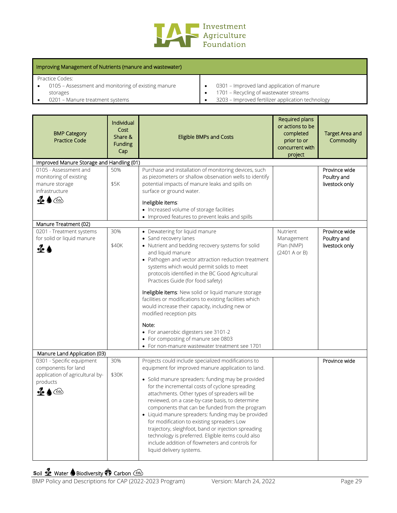

| Improving Management of Nutrients (manure and wastewater) |                                                   |  |  |  |  |
|-----------------------------------------------------------|---------------------------------------------------|--|--|--|--|
| Practice Codes:                                           |                                                   |  |  |  |  |
| 0105 – Assessment and monitoring of existing manure       | 0301 - Improved land application of manure        |  |  |  |  |
| storages                                                  | 1701 - Recycling of wastewater streams            |  |  |  |  |
| 0201 - Manure treatment systems                           | 3203 - Improved fertilizer application technology |  |  |  |  |

| <b>BMP Category</b><br><b>Practice Code</b>                                                                                                                                                                         | Individual<br>Cost<br>Share &<br><b>Funding</b><br>Cap | <b>Eligible BMPs and Costs</b>                                                                                                                                                                                                                                                                                                                                                                                                                                                                                                                                                                                                                                              | Required plans<br>or actions to be<br>completed<br>prior to or<br>concurrent with<br>project | <b>Target Area and</b><br>Commodity            |
|---------------------------------------------------------------------------------------------------------------------------------------------------------------------------------------------------------------------|--------------------------------------------------------|-----------------------------------------------------------------------------------------------------------------------------------------------------------------------------------------------------------------------------------------------------------------------------------------------------------------------------------------------------------------------------------------------------------------------------------------------------------------------------------------------------------------------------------------------------------------------------------------------------------------------------------------------------------------------------|----------------------------------------------------------------------------------------------|------------------------------------------------|
| Improved Manure Storage and Handling (01)                                                                                                                                                                           |                                                        |                                                                                                                                                                                                                                                                                                                                                                                                                                                                                                                                                                                                                                                                             |                                                                                              |                                                |
| 0105 - Assessment and<br>monitoring of existing<br>manure storage<br>infrastructure<br>$\bullet$ $\bullet$ $\circ$                                                                                                  | 50%<br>\$5K                                            | Purchase and installation of monitoring devices, such<br>as piezometers or shallow observation wells to identify<br>potential impacts of manure leaks and spills on<br>surface or ground water.<br>Ineligible items:<br>• Increased volume of storage facilities                                                                                                                                                                                                                                                                                                                                                                                                            |                                                                                              | Province wide<br>Poultry and<br>livestock only |
|                                                                                                                                                                                                                     |                                                        | • Improved features to prevent leaks and spills                                                                                                                                                                                                                                                                                                                                                                                                                                                                                                                                                                                                                             |                                                                                              |                                                |
| Manure Treatment (02)                                                                                                                                                                                               |                                                        |                                                                                                                                                                                                                                                                                                                                                                                                                                                                                                                                                                                                                                                                             |                                                                                              |                                                |
| 0201 - Treatment systems<br>for solid or liquid manure<br>$\triangleq$ $\bullet$                                                                                                                                    | 30%<br>\$40K                                           | • Dewatering for liquid manure<br>• Sand recovery lanes<br>• Nutrient and bedding recovery systems for solid<br>and liquid manure<br>• Pathogen and vector attraction reduction treatment<br>systems which would permit solids to meet<br>protocols identified in the BC Good Agricultural<br>Practices Guide (for food safety)<br>Ineligible items: New solid or liquid manure storage<br>facilities or modifications to existing facilities which<br>would increase their capacity, including new or<br>modified reception pits<br>Note:<br>• For anaerobic digesters see 3101-2<br>• For composting of manure see 0803<br>• For non-manure wastewater treatment see 1701 | Nutrient<br>Management<br>Plan (NMP)<br>(2401 A or B)                                        | Province wide<br>Poultry and<br>livestock only |
| Manure Land Application (03)                                                                                                                                                                                        |                                                        |                                                                                                                                                                                                                                                                                                                                                                                                                                                                                                                                                                                                                                                                             |                                                                                              |                                                |
| 0301 - Specific equipment<br>components for land<br>application of agricultural by-<br>products<br>، م]∍<br>$\left(\begin{smallmatrix} \cos\theta & \cos\theta \\ \cos\theta & \cos\theta \end{smallmatrix}\right)$ | 30%<br>\$30K                                           | Projects could include specialized modifications to<br>equipment for improved manure application to land.<br>• Solid manure spreaders: funding may be provided<br>for the incremental costs of cyclone spreading<br>attachments. Other types of spreaders will be<br>reviewed, on a case-by-case basis, to determine<br>components that can be funded from the program<br>• Liquid manure spreaders: funding may be provided<br>for modification to existing spreaders Low<br>trajectory, sleighfoot, band or injection spreading<br>technology is preferred. Eligible items could also<br>include addition of flowmeters and controls for<br>liquid delivery systems.      |                                                                                              | Province wide                                  |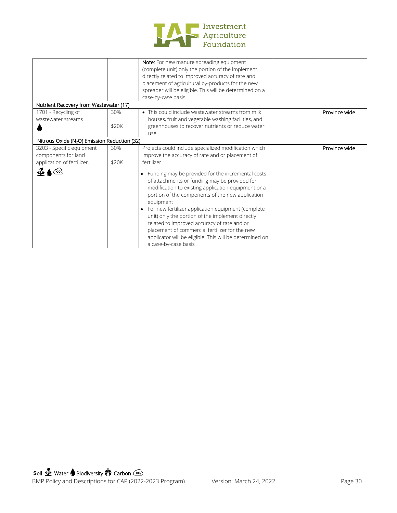

|                                                                                |              | Note: For new manure spreading equipment<br>(complete unit) only the portion of the implement<br>directly related to improved accuracy of rate and<br>placement of agricultural by-products for the new<br>spreader will be eligible. This will be determined on a                                                                                                                                                                                                                                                                    |               |
|--------------------------------------------------------------------------------|--------------|---------------------------------------------------------------------------------------------------------------------------------------------------------------------------------------------------------------------------------------------------------------------------------------------------------------------------------------------------------------------------------------------------------------------------------------------------------------------------------------------------------------------------------------|---------------|
|                                                                                |              | case-by-case basis.                                                                                                                                                                                                                                                                                                                                                                                                                                                                                                                   |               |
| Nutrient Recovery from Wastewater (17)                                         |              |                                                                                                                                                                                                                                                                                                                                                                                                                                                                                                                                       |               |
| 1701 - Recycling of<br>wastewater streams                                      | 30%<br>\$20K | • This could include wastewater streams from milk<br>houses, fruit and vegetable washing facilities, and<br>greenhouses to recover nutrients or reduce water<br>use                                                                                                                                                                                                                                                                                                                                                                   | Province wide |
| Nitrous Oxide (N <sub>2</sub> O) Emission Reduction (32)                       |              |                                                                                                                                                                                                                                                                                                                                                                                                                                                                                                                                       |               |
| 3203 - Specific equipment<br>components for land<br>application of fertilizer. | 30%<br>\$20K | Projects could include specialized modification which<br>improve the accuracy of rate and or placement of<br>fertilizer.                                                                                                                                                                                                                                                                                                                                                                                                              | Province wide |
| $\bullet$ $\bullet$ $\circ$                                                    |              | Funding may be provided for the incremental costs<br>$\bullet$<br>of attachments or funding may be provided for<br>modification to existing application equipment or a<br>portion of the components of the new application<br>equipment<br>For new fertilizer application equipment (complete<br>unit) only the portion of the implement directly<br>related to improved accuracy of rate and or<br>placement of commercial fertilizer for the new<br>applicator will be eligible. This will be determined on<br>a case-by-case basis |               |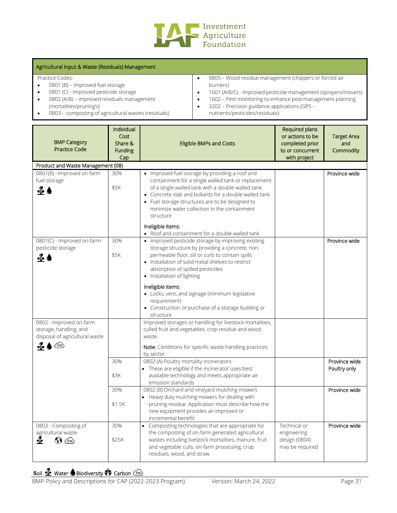

#### Agricultural Input & Waste (Residuals) Management

Practice Codes:

- 0801 (B) Improved fuel storage
- 0801 (C) Improved pesticide storage
- 0802 (A/B) improved residuals management (mortalities/pruning's)
- 0803 composting of agricultural wastes (residuals)
- 0805 Wood residue management (chippers or forced air burners)
- 1601 (A/B/C) Improved pesticide management (sprayers/movers)
- 1602 Pest monitoring to enhance pest management planning
- 3202 Precision guidance applications (GPS nutrients/pesticides/residuals)

| <b>BMP Category</b><br><b>Practice Code</b>                                                                                                                                               | Individual<br>Cost<br>Share &<br><b>Funding</b><br>Cap | <b>Eligible BMPs and Costs</b>                                                                                                                                                                                                                                                                                                                                                                                                              | Required plans<br>or actions to be<br>completed prior<br>to or concurrent<br>with project | <b>Target Area</b><br>and<br>Commodity |
|-------------------------------------------------------------------------------------------------------------------------------------------------------------------------------------------|--------------------------------------------------------|---------------------------------------------------------------------------------------------------------------------------------------------------------------------------------------------------------------------------------------------------------------------------------------------------------------------------------------------------------------------------------------------------------------------------------------------|-------------------------------------------------------------------------------------------|----------------------------------------|
| Product and Waste Management (08)                                                                                                                                                         |                                                        |                                                                                                                                                                                                                                                                                                                                                                                                                                             |                                                                                           |                                        |
| 0801(B) - Improved on-farm<br>fuel storage<br>$\frac{a}{2}$                                                                                                                               | 30%<br>\$5K                                            | • Improved fuel storage by providing a roof and<br>containment for a single walled tank or replacement<br>of a single walled tank with a double walled tank<br>• Concrete slab and bollards for a double walled tank<br>• Fuel storage structures are to be designed to<br>minimize water collection in the containment<br>structure<br>Ineligible items:<br>• Roof and containment for a double walled tank                                |                                                                                           | Province wide                          |
| 0801(C) - Improved on-farm<br>pesticide storage<br>$\frac{a}{2}$                                                                                                                          | 30%<br>\$5K                                            | • Improved pesticide storage by improving existing<br>storage structure by providing a concrete, non-<br>permeable floor, sill or curb to contain spills<br>• Installation of solid metal shelves to restrict<br>absorption of spilled pesticides<br>• Installation of lighting<br>Ineligible items:<br>• Locks, vent, and signage (minimum legislative<br>requirement)<br>• Construction or purchase of a storage building or<br>structure |                                                                                           | Province wide                          |
| 0802 - Improved on-farm<br>storage, handling, and<br>disposal of agricultural waste<br>$\left(\begin{smallmatrix} \cos\theta_1 \\ \cos\theta_2 \end{smallmatrix}\right)$<br>$\frac{q}{2}$ |                                                        | Improved storages or handling for livestock mortalities,<br>culled fruit and vegetables, crop residue and wood<br>waste.<br>Note: Conditions for specific waste handling practices<br>by sector                                                                                                                                                                                                                                             |                                                                                           |                                        |
|                                                                                                                                                                                           | 30%<br>\$3K                                            | 0802 (A) Poultry mortality incinerators<br>• These are eligible if the incinerator uses best<br>available technology and meets appropriate air<br>emission standards                                                                                                                                                                                                                                                                        |                                                                                           | Province wide<br>Poultry only          |
|                                                                                                                                                                                           | 30%<br>\$1.5K                                          | 0802 (B) Orchard and vineyard mulching mowers<br>• Heavy duty mulching mowers for dealing with<br>pruning residue. Application must describe how the<br>new equipment provides an improved or<br>incremental benefit                                                                                                                                                                                                                        |                                                                                           | Province wide                          |
| 0803 - Composting of<br>agricultural waste<br>≰<br>დ.\                                                                                                                                    | 30%<br>\$25K                                           | Composting technologies that are appropriate for<br>$\bullet$<br>the composting of on-farm generated agricultural<br>wastes including livestock mortalities, manure, fruit<br>and vegetable culls, on-farm processing, crop<br>residues, wood, and straw                                                                                                                                                                                    | Technical or<br>engineering<br>design (0804)<br>may be required                           | Province wide                          |

# **Soil Se** Water **S** Biodiversity **O** Carbon Co<sub>2</sub>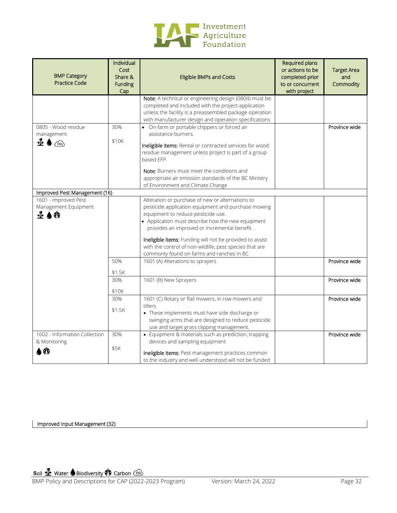

| <b>BMP Category</b><br><b>Practice Code</b>             | Individual<br>Cost<br>Share &<br>Funding<br>Cap | <b>Eligible BMPs and Costs</b>                                                                                                                                                                                                                                                                                                                                                                                         | Required plans<br>or actions to be<br>completed prior<br>to or concurrent<br>with project | <b>Target Area</b><br>and<br>Commodity |
|---------------------------------------------------------|-------------------------------------------------|------------------------------------------------------------------------------------------------------------------------------------------------------------------------------------------------------------------------------------------------------------------------------------------------------------------------------------------------------------------------------------------------------------------------|-------------------------------------------------------------------------------------------|----------------------------------------|
|                                                         |                                                 | Note: A technical or engineering design (0804) must be<br>completed and included with the project application<br>unless the facility is a preassembled package operation<br>with manufacturer design and operation specifications                                                                                                                                                                                      |                                                                                           |                                        |
| 0805 - Wood residue<br>management<br>ซื้ ♦ (∞ิ)         | 30%<br>\$10K                                    | • On-farm or portable chippers or forced air<br>assistance burners.<br>Ineligible items: Rental or contracted services for wood<br>residue management unless project is part of a group<br>based EFP.<br>Note: Burners must meet the conditions and<br>appropriate air emission standards of the BC Ministry                                                                                                           |                                                                                           | Province wide                          |
| Improved Pest Management (16)                           |                                                 | of Environment and Climate Change                                                                                                                                                                                                                                                                                                                                                                                      |                                                                                           |                                        |
| 1601 - Improved Pest<br>Management Equipment<br>- 2 A ① |                                                 | Alteration or purchase of new or alternations to<br>pesticide application equipment and purchase mowing<br>equipment to reduce pesticide use.<br>• Application must describe how the new equipment<br>provides an improved or incremental benefit.<br>Ineligible items: Funding will not be provided to assist<br>with the control of non-wildlife, pest species that are<br>commonly found on farms and ranches in BC |                                                                                           |                                        |
|                                                         | 50%<br>\$1.5K                                   | 1601 (A) Alterations to sprayers                                                                                                                                                                                                                                                                                                                                                                                       |                                                                                           | Province wide                          |
|                                                         | 30%<br>\$10K                                    | 1601 (B) New Sprayers                                                                                                                                                                                                                                                                                                                                                                                                  |                                                                                           | Province wide                          |
|                                                         | 30%<br>\$1.5K                                   | 1601 (C) Rotary or flail mowers, in row mowers and<br>tillers<br>• These implements must have side discharge or<br>swinging arms that are designed to reduce pesticide<br>use and target grass clipping management.                                                                                                                                                                                                    |                                                                                           | Province wide                          |
| 1602 - Information Collection<br>& Monitoring           | 30%<br>\$5K                                     | • Equipment & materials such as prediction, trapping<br>devices and sampling equipment<br>Ineligible items: Pest management practices common<br>to the industry and well understood will not be funded                                                                                                                                                                                                                 |                                                                                           | Province wide                          |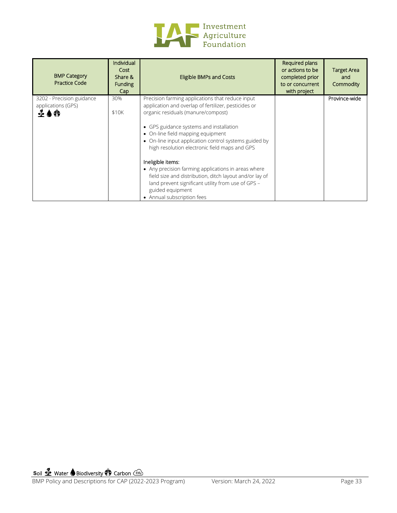

| <b>BMP Category</b><br><b>Practice Code</b>                  | Individual<br>Cost<br>Share &<br><b>Funding</b><br>Cap | <b>Eligible BMPs and Costs</b>                                                                                                                                                                                                                                                                                                                                                                                                                                                                                                                                                          | Required plans<br>or actions to be<br>completed prior<br>to or concurrent<br>with project | <b>Target Area</b><br>and<br>Commodity |
|--------------------------------------------------------------|--------------------------------------------------------|-----------------------------------------------------------------------------------------------------------------------------------------------------------------------------------------------------------------------------------------------------------------------------------------------------------------------------------------------------------------------------------------------------------------------------------------------------------------------------------------------------------------------------------------------------------------------------------------|-------------------------------------------------------------------------------------------|----------------------------------------|
| 3202 - Precision guidance<br>applications (GPS)<br>$\bf 100$ | 30%<br>\$10K                                           | Precision farming applications that reduce input<br>application and overlap of fertilizer, pesticides or<br>organic residuals (manure/compost)<br>• GPS guidance systems and installation<br>• On-line field mapping equipment<br>• On-line input application control systems guided by<br>high resolution electronic field maps and GPS<br>Ineligible items:<br>• Any precision farming applications in areas where<br>field size and distribution, ditch layout and/or lay of<br>land prevent significant utility from use of GPS -<br>guided equipment<br>• Annual subscription fees |                                                                                           | Province-wide                          |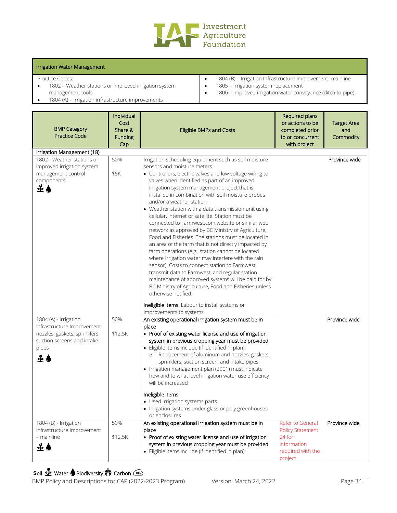

#### Irrigation Water Management

Practice Codes:

• 1802 – Weather stations or improved irrigation system management tools

• 1804 (A) – Irrigation infrastructure improvements

- 1804 (B) Irrigation Infrastructure Improvement -mainline • 1805 – Irrigation system replacement
- 
- 1806 Improved irrigation water conveyance (ditch to pipe)

| <b>BMP Category</b><br><b>Practice Code</b>                                                                                                   | Individual<br>Cost<br>Share &<br><b>Funding</b><br>Cap | <b>Eligible BMPs and Costs</b>                                                                                                                                                                                                                                                                                                                                                                                                                                                                                                                                                                                                                                                                                                                                                                                                                                                                                                                                                                                                 | Required plans<br>or actions to be<br>completed prior<br>to or concurrent<br>with project            | <b>Target Area</b><br>and<br>Commodity |
|-----------------------------------------------------------------------------------------------------------------------------------------------|--------------------------------------------------------|--------------------------------------------------------------------------------------------------------------------------------------------------------------------------------------------------------------------------------------------------------------------------------------------------------------------------------------------------------------------------------------------------------------------------------------------------------------------------------------------------------------------------------------------------------------------------------------------------------------------------------------------------------------------------------------------------------------------------------------------------------------------------------------------------------------------------------------------------------------------------------------------------------------------------------------------------------------------------------------------------------------------------------|------------------------------------------------------------------------------------------------------|----------------------------------------|
| Irrigation Management (18)                                                                                                                    |                                                        |                                                                                                                                                                                                                                                                                                                                                                                                                                                                                                                                                                                                                                                                                                                                                                                                                                                                                                                                                                                                                                |                                                                                                      |                                        |
| 1802 - Weather stations or<br>improved irrigation system<br>management control<br>components<br>ื้≱                                           | 50%<br>\$5K                                            | Irrigation scheduling equipment such as soil moisture<br>sensors and moisture meters<br>• Controllers, electric valves and low voltage wiring to<br>valves when identified as part of an improved<br>irrigation system management project that is<br>installed in combination with soil moisture probes<br>and/or a weather station<br>• Weather station with a data transmission unit using<br>cellular, internet or satellite. Station must be<br>connected to Farmwest.com website or similar web<br>network as approved by BC Ministry of Agriculture,<br>Food and Fisheries. The stations must be located in<br>an area of the farm that is not directly impacted by<br>farm operations (e.g., station cannot be located<br>where irrigation water may interfere with the rain<br>sensor). Costs to connect station to Farmwest,<br>transmit data to Farmwest, and regular station<br>maintenance of approved systems will be paid for by<br>BC Ministry of Agriculture, Food and Fisheries unless<br>otherwise notified. |                                                                                                      | Province wide                          |
|                                                                                                                                               |                                                        | Ineligible items: Labour to install systems or<br>improvements to systems                                                                                                                                                                                                                                                                                                                                                                                                                                                                                                                                                                                                                                                                                                                                                                                                                                                                                                                                                      |                                                                                                      |                                        |
| 1804 (A) - Irrigation<br>Infrastructure Improvement-<br>nozzles, gaskets, sprinklers,<br>suction screens and intake<br>pipes<br>$\triangle$ ( | 50%<br>\$12.5K                                         | An existing operational irrigation system must be in<br>place<br>• Proof of existing water license and use of irrigation<br>system in previous cropping year must be provided<br>· Eligible items include (if identified in plan):<br>Replacement of aluminum and nozzles, gaskets,<br>$\circ$<br>sprinklers, suction screen, and intake pipes<br>• Irrigation management plan (2901) must indicate<br>how and to what level irrigation water use efficiency<br>will be increased<br>Ineligible items:                                                                                                                                                                                                                                                                                                                                                                                                                                                                                                                         |                                                                                                      | Province wide                          |
|                                                                                                                                               |                                                        | Used irrigation systems parts<br>• Irrigation systems under glass or poly greenhouses<br>or enclosures                                                                                                                                                                                                                                                                                                                                                                                                                                                                                                                                                                                                                                                                                                                                                                                                                                                                                                                         |                                                                                                      |                                        |
| 1804 (B) - Irrigation<br>Infrastructure Improvement<br>- mainline<br>20                                                                       | 50%<br>\$12.5K                                         | An existing operational irrigation system must be in<br>place<br>• Proof of existing water license and use of irrigation<br>system in previous cropping year must be provided<br>· Eligible items include (if identified in plan):                                                                                                                                                                                                                                                                                                                                                                                                                                                                                                                                                                                                                                                                                                                                                                                             | Refer to General<br><b>Policy Statement</b><br>24 for<br>information<br>required with the<br>project | Province wide                          |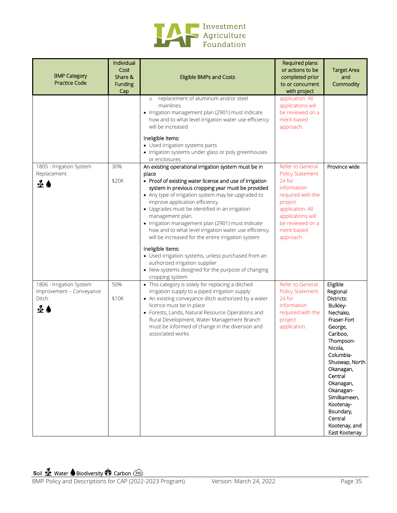

| <b>BMP Category</b><br><b>Practice Code</b>                                   | Individual<br>Cost<br>Share &<br>Funding<br>Cap | <b>Eligible BMPs and Costs</b>                                                                                                                                                                                                                                                                                                                                                                                                                                                                                                                                                                                                                                                                          | Required plans<br>or actions to be<br>completed prior<br>to or concurrent<br>with project                                                                                                     | <b>Target Area</b><br>and<br>Commodity                                                                                                                                                                                                                                                           |
|-------------------------------------------------------------------------------|-------------------------------------------------|---------------------------------------------------------------------------------------------------------------------------------------------------------------------------------------------------------------------------------------------------------------------------------------------------------------------------------------------------------------------------------------------------------------------------------------------------------------------------------------------------------------------------------------------------------------------------------------------------------------------------------------------------------------------------------------------------------|-----------------------------------------------------------------------------------------------------------------------------------------------------------------------------------------------|--------------------------------------------------------------------------------------------------------------------------------------------------------------------------------------------------------------------------------------------------------------------------------------------------|
|                                                                               |                                                 | replacement of aluminum and/or steel<br>$\circ$<br>mainlines<br>· Irrigation management plan (2901) must indicate<br>how and to what level irrigation water use efficiency<br>will be increased<br>Ineligible items:<br>• Used irrigation systems parts<br>• Irrigation systems under glass or poly greenhouses<br>or enclosures                                                                                                                                                                                                                                                                                                                                                                        | application. All<br>applications will<br>be reviewed on a<br>merit-based<br>approach.                                                                                                         |                                                                                                                                                                                                                                                                                                  |
| 1805 - Irrigation System<br>Replacement<br>ื้ั้∙                              | 30%<br>\$20K                                    | An existing operational irrigation system must be in<br>place<br>• Proof of existing water license and use of irrigation<br>system in previous cropping year must be provided<br>• Any type of irrigation system may be upgraded to<br>improve application efficiency.<br>• Upgrades must be identified in an irrigation<br>management plan.<br>• Irrigation management plan (2901) must indicate<br>how and to what level irrigation water use efficiency<br>will be increased for the entire irrigation system<br>Ineligible items:<br>• Used irrigation systems, unless purchased from an<br>authorized irrigation supplier<br>• New systems designed for the purpose of changing<br>cropping system | Refer to General<br><b>Policy Statement</b><br>24 for<br>information<br>required with the<br>project<br>application. All<br>applications will<br>be reviewed on a<br>merit-based<br>approach. | Province wide                                                                                                                                                                                                                                                                                    |
| 1806 - Irrigation System<br>Improvement - Conveyance<br>Ditch<br>$\mathbf{r}$ | 50%<br>\$10K                                    | • This category is solely for replacing a ditched<br>irrigation supply to a piped irrigation supply<br>• An existing conveyance ditch authorized by a water<br>licence must be in place<br>• Forests, Lands, Natural Resource Operations and<br>Rural Development, Water Management Branch<br>must be informed of change in the diversion and<br>associated works                                                                                                                                                                                                                                                                                                                                       | Refer to General<br><b>Policy Statement</b><br>24 for<br>information<br>required with the<br>project<br>application.                                                                          | Eligible<br>Regional<br>Districts:<br>Bulkley-<br>Nechako,<br>Fraser-Fort<br>George,<br>Cariboo,<br>Thompson-<br>Nicola,<br>Columbia-<br>Shuswap, North<br>Okanagan,<br>Central<br>Okanagan,<br>Okanagan-<br>Similkameen,<br>Kootenay-<br>Boundary,<br>Central<br>Kootenay, and<br>East Kootenay |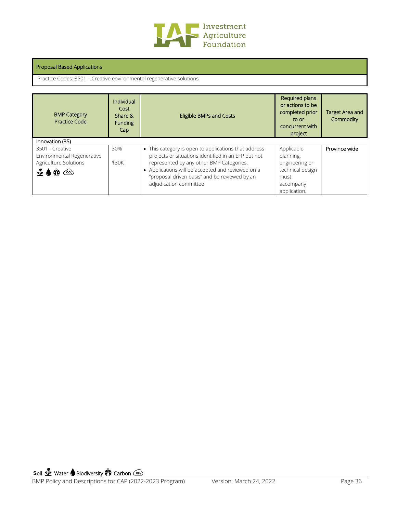

#### Proposal Based Applications

Practice Codes: 3501 – Creative environmental regenerative solutions

| <b>BMP Category</b><br>Practice Code                                                                                            | Individual<br>Cost<br>Share &<br><b>Funding</b><br>Cap | <b>Eligible BMPs and Costs</b>                                                                                                                                                                                                                                                          | Required plans<br>or actions to be<br>completed prior<br>to or<br>concurrent with<br>project       | Target Area and<br>Commodity |
|---------------------------------------------------------------------------------------------------------------------------------|--------------------------------------------------------|-----------------------------------------------------------------------------------------------------------------------------------------------------------------------------------------------------------------------------------------------------------------------------------------|----------------------------------------------------------------------------------------------------|------------------------------|
| Innovation (35)                                                                                                                 |                                                        |                                                                                                                                                                                                                                                                                         |                                                                                                    |                              |
| 3501 - Creative<br>Environmental Regenerative<br>Agriculture Solutions<br>$\mathbf{\Phi} \bullet \mathbf{\Phi} \quad \text{on}$ | 30%<br>\$30K                                           | • This category is open to applications that address<br>projects or situations identified in an EFP but not<br>represented by any other BMP Categories.<br>• Applications will be accepted and reviewed on a<br>"proposal driven basis" and be reviewed by an<br>adjudication committee | Applicable<br>planning,<br>engineering or<br>technical design<br>must<br>accompany<br>application. | Province wide                |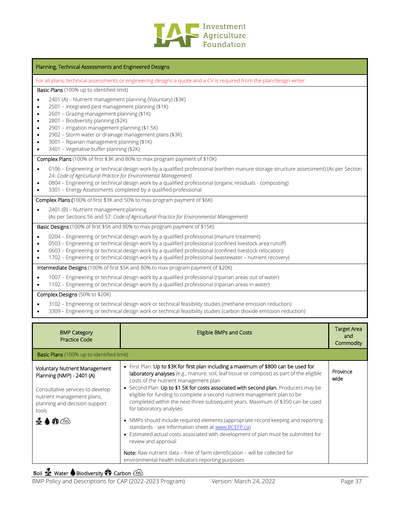

| Planning, Technical Assessments and Engineered Designs                                                                                                                                                                                                                                                                                                                                                                                                                                       |
|----------------------------------------------------------------------------------------------------------------------------------------------------------------------------------------------------------------------------------------------------------------------------------------------------------------------------------------------------------------------------------------------------------------------------------------------------------------------------------------------|
| For all plans, technical assessments or engineering designs a quote and a CV is required from the plan/design writer.                                                                                                                                                                                                                                                                                                                                                                        |
| Basic Plans (100% up to identified limit)                                                                                                                                                                                                                                                                                                                                                                                                                                                    |
| 2401 (A) - Nutrient management planning (Voluntary) (\$3K)<br>$\bullet$<br>2501 - Integrated pest management planning (\$1K)<br>$\bullet$<br>2601 - Grazing management planning (\$1K)<br>$\bullet$<br>2801 - Biodiversity planning (\$2K)<br>$\bullet$<br>2901 - Irrigation management planning (\$1.5K)<br>٠<br>2902 - Storm water or drainage management plans (\$3K)<br>$\bullet$<br>3001 - Riparian management planning (\$1K)<br>$\bullet$<br>3401 - Vegetative buffer planning (\$2K) |
| <b>Complex Plans</b> (100% of first \$3K and 80% to max program payment of \$10K)                                                                                                                                                                                                                                                                                                                                                                                                            |
| 0106 - Engineering or technical design work by a qualified professional (earthen manure storage structure assessment) (As per Section<br>$\bullet$<br>24: Code of Agricultural Practice for Environmental Management)<br>0804 - Engineering or technical design work by a qualified professional (organic residuals - composting)<br>$\bullet$<br>3301 - Energy Assessments completed by a qualified professional<br>$\bullet$                                                               |
| Complex Plans (100% of first \$3K and 50% to max program payment of \$6K)                                                                                                                                                                                                                                                                                                                                                                                                                    |
| 2401 (B) - Nutrient management planning<br>$\bullet$<br>(As per Sections 56 and 57: Code of Agricultural Practice for Environmental Management)                                                                                                                                                                                                                                                                                                                                              |
| Basic Designs (100% of first \$5K and 80% to max program payment of \$15K)                                                                                                                                                                                                                                                                                                                                                                                                                   |
| 0204 - Engineering or technical design work by a qualified professional (manure treatment)<br>$\bullet$<br>0503 - Engineering or technical design work by a qualified professional (confined livestock area runoff)<br>$\bullet$<br>0603 - Engineering or technical design work by a qualified professional (confined livestock relocation)<br>$\bullet$<br>1702 - Engineering or technical design work by a qualified professional (wastewater - nutrient recovery)<br>$\bullet$            |
| Intermediate Designs (100% of first \$5K and 80% to max program payment of \$20K)                                                                                                                                                                                                                                                                                                                                                                                                            |
| 1007 - Engineering or technical design work by a qualified professional (riparian areas out of water)<br>$\bullet$<br>1102 - Engineering or technical design work by a qualified professional (riparian areas in water)                                                                                                                                                                                                                                                                      |
| Complex Designs (50% to \$20K)                                                                                                                                                                                                                                                                                                                                                                                                                                                               |

- 3102 Engineering or technical design work or technical feasibility studies (methane emission reduction)
- 3309 Engineering or technical design work or technical feasibility studies (carbon dioxide emission reduction)

| <b>BMP Category</b><br><b>Practice Code</b>                                                                                                                                                                                  | <b>Eligible BMPs and Costs</b>                                                                                                                                                                                                                                                                                                                                                                                                                                                                                                                                                                                                                                                                                                                                                                                                                                                                                         | <b>Target Area</b><br>and<br>Commodity |
|------------------------------------------------------------------------------------------------------------------------------------------------------------------------------------------------------------------------------|------------------------------------------------------------------------------------------------------------------------------------------------------------------------------------------------------------------------------------------------------------------------------------------------------------------------------------------------------------------------------------------------------------------------------------------------------------------------------------------------------------------------------------------------------------------------------------------------------------------------------------------------------------------------------------------------------------------------------------------------------------------------------------------------------------------------------------------------------------------------------------------------------------------------|----------------------------------------|
| <b>Basic Plans</b> (100% up to identified limit)                                                                                                                                                                             |                                                                                                                                                                                                                                                                                                                                                                                                                                                                                                                                                                                                                                                                                                                                                                                                                                                                                                                        |                                        |
| <b>Voluntary Nutrient Management</b><br>Planning (NMP) - 2401 (A)<br>Consultative services to develop<br>nutrient management plans,<br>planning and decision support<br>tools<br>$\bigcirc$ $\bigcirc$ $\bigcirc$ $\bigcirc$ | • First Plan: Up to \$3K for first plan including a maximum of \$800 can be used for<br><b>laboratory analyses</b> (e.g., manure, soil, leaf tissue or compost) as part of the eligible<br>costs of the nutrient management plan<br>• Second Plan: Up to \$1.5K for costs associated with second plan. Producers may be<br>eligible for funding to complete a second nutrient management plan to be<br>completed within the next three subsequent years. Maximum of \$350 can be used<br>for laboratory analyses<br>• NMPs should include required elements (appropriate record keeping and reporting<br>standards - see Information sheet at www.BCEFP.ca)<br>• Estimated actual costs associated with development of plan must be submitted for<br>review and approval<br><b>Note:</b> Raw nutrient data – free of farm identification – will be collected for<br>environmental health indicators reporting purposes | Province<br>wide                       |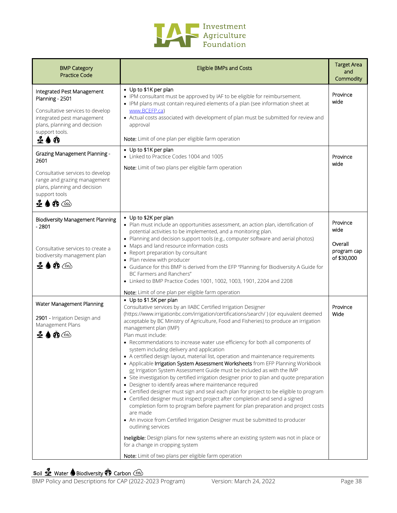

| <b>BMP Category</b><br><b>Practice Code</b>                                                                                                                                    | <b>Eligible BMPs and Costs</b>                                                                                                                                                                                                                                                                                                                                                                                                                                                                                                                                                                                                                                                                                                                                                                                                                                                                                                                                                                                                                                                                                                                                                                                                                                                                                                                                                                                                               | <b>Target Area</b><br>and<br>Commodity                    |
|--------------------------------------------------------------------------------------------------------------------------------------------------------------------------------|----------------------------------------------------------------------------------------------------------------------------------------------------------------------------------------------------------------------------------------------------------------------------------------------------------------------------------------------------------------------------------------------------------------------------------------------------------------------------------------------------------------------------------------------------------------------------------------------------------------------------------------------------------------------------------------------------------------------------------------------------------------------------------------------------------------------------------------------------------------------------------------------------------------------------------------------------------------------------------------------------------------------------------------------------------------------------------------------------------------------------------------------------------------------------------------------------------------------------------------------------------------------------------------------------------------------------------------------------------------------------------------------------------------------------------------------|-----------------------------------------------------------|
| Integrated Pest Management<br>Planning - 2501<br>Consultative services to develop<br>integrated pest management<br>plans, planning and decision<br>support tools.<br>$\bf 400$ | • Up to \$1K per plan<br>• IPM consultant must be approved by IAF to be eligible for reimbursement.<br>• IPM plans must contain required elements of a plan (see information sheet at<br>www.BCEFP.ca)<br>• Actual costs associated with development of plan must be submitted for review and<br>approval<br>Note: Limit of one plan per eligible farm operation                                                                                                                                                                                                                                                                                                                                                                                                                                                                                                                                                                                                                                                                                                                                                                                                                                                                                                                                                                                                                                                                             | Province<br>wide                                          |
| <b>Grazing Management Planning -</b><br>2601<br>Consultative services to develop<br>range and grazing management<br>plans, planning and decision<br>support tools<br>4 ♦ Ф ⓒ   | • Up to \$1K per plan<br>• Linked to Practice Codes 1004 and 1005<br>Note: Limit of two plans per eligible farm operation                                                                                                                                                                                                                                                                                                                                                                                                                                                                                                                                                                                                                                                                                                                                                                                                                                                                                                                                                                                                                                                                                                                                                                                                                                                                                                                    | Province<br>wide                                          |
| <b>Biodiversity Management Planning</b><br>- 2801<br>Consultative services to create a<br>biodiversity management plan<br>$\mathbf{\Phi} \bullet \mathbf{\Phi}$ $\circledcirc$ | • Up to \$2K per plan<br>• Plan must include an opportunities assessment, an action plan, identification of<br>potential activities to be implemented, and a monitoring plan.<br>• Planning and decision support tools (e.g., computer software and aerial photos)<br>• Maps and land resource information costs<br>• Report preparation by consultant<br>• Plan review with producer<br>• Guidance for this BMP is derived from the EFP "Planning for Biodiversity A Guide for<br>BC Farmers and Ranchers"<br>• Linked to BMP Practice Codes 1001, 1002, 1003, 1901, 2204 and 2208<br>Note: Limit of one plan per eligible farm operation                                                                                                                                                                                                                                                                                                                                                                                                                                                                                                                                                                                                                                                                                                                                                                                                   | Province<br>wide<br>Overall<br>program cap<br>of \$30,000 |
| Water Management Planning<br>2901 - Irrigation Design and<br>Management Plans<br>$\bigcirc$ $\bigcirc$                                                                         | • Up to \$1.5K per plan<br>Consultative services by an IIABC Certified Irrigation Designer<br>(https://www.irrigationbc.com/irrigation/certifications/search/) (or equivalent deemed<br>acceptable by BC Ministry of Agriculture, Food and Fisheries) to produce an irrigation<br>management plan (IMP)<br>Plan must include:<br>• Recommendations to increase water use efficiency for both all components of<br>system including delivery and application<br>• A certified design layout, material list, operation and maintenance requirements<br>• Applicable Irrigation System Assessment Worksheets from EFP Planning Workbook<br>or Irrigation System Assessment Guide must be included as with the IMP<br>• Site investigation by certified irrigation designer prior to plan and quote preparation<br>• Designer to identify areas where maintenance required<br>• Certified designer must sign and seal each plan for project to be eligible to program<br>• Certified designer must inspect project after completion and send a signed<br>completion form to program before payment for plan preparation and project costs<br>are made<br>• An invoice from Certified Irrigation Designer must be submitted to producer<br>outlining services<br>Ineligible: Design plans for new systems where an existing system was not in place or<br>for a change in cropping system<br>Note: Limit of two plans per eligible farm operation | Province<br>Wide                                          |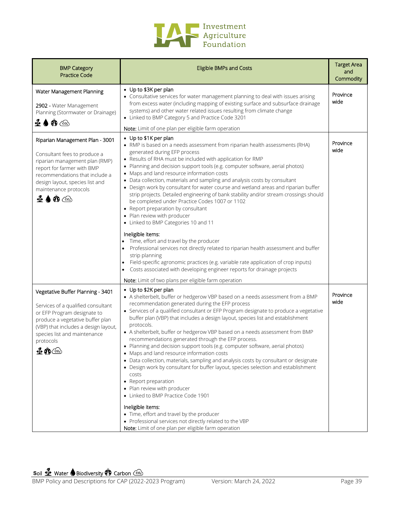

| <b>BMP Category</b><br><b>Practice Code</b>                                                                                                                                                                                                                                   | <b>Eligible BMPs and Costs</b>                                                                                                                                                                                                                                                                                                                                                                                                                                                                                                                                                                                                                                                                                                                                                                                                                                                                                                                                                                                                                                                                                                                                       | <b>Target Area</b><br>and<br>Commodity |
|-------------------------------------------------------------------------------------------------------------------------------------------------------------------------------------------------------------------------------------------------------------------------------|----------------------------------------------------------------------------------------------------------------------------------------------------------------------------------------------------------------------------------------------------------------------------------------------------------------------------------------------------------------------------------------------------------------------------------------------------------------------------------------------------------------------------------------------------------------------------------------------------------------------------------------------------------------------------------------------------------------------------------------------------------------------------------------------------------------------------------------------------------------------------------------------------------------------------------------------------------------------------------------------------------------------------------------------------------------------------------------------------------------------------------------------------------------------|----------------------------------------|
| Water Management Planning<br>2902 - Water Management<br>Planning (Stormwater or Drainage)<br><b>⊈♦@</b>                                                                                                                                                                       | • Up to \$3K per plan<br>• Consultative services for water management planning to deal with issues arising<br>from excess water (including mapping of existing surface and subsurface drainage<br>systems) and other water related issues resulting from climate change<br>• Linked to BMP Category 5 and Practice Code 3201<br>Note: Limit of one plan per eligible farm operation                                                                                                                                                                                                                                                                                                                                                                                                                                                                                                                                                                                                                                                                                                                                                                                  | Province<br>wide                       |
| Riparian Management Plan - 3001<br>Consultant fees to produce a<br>riparian management plan (RMP)<br>report for farmer with BMP<br>recommendations that include a<br>design layout, species list and<br>maintenance protocols<br>$\clubsuit \spadesuit \spadesuit \spadesuit$ | • Up to \$1K per plan<br>• RMP is based on a needs assessment from riparian health assessments (RHA)<br>generated during EFP process<br>• Results of RHA must be included with application for RMP<br>• Planning and decision support tools (e.g. computer software, aerial photos)<br>• Maps and land resource information costs<br>• Data collection, materials and sampling and analysis costs by consultant<br>• Design work by consultant for water course and wetland areas and riparian buffer<br>strip projects. Detailed engineering of bank stability and/or stream crossings should<br>be completed under Practice Codes 1007 or 1102<br>• Report preparation by consultant<br>• Plan review with producer<br>• Linked to BMP Categories 10 and 11<br>Ineligible items:<br>Time, effort and travel by the producer<br>Professional services not directly related to riparian health assessment and buffer<br>strip planning<br>Field-specific agronomic practices (e.g. variable rate application of crop inputs)<br>Costs associated with developing engineer reports for drainage projects<br>٠<br>Note: Limit of two plans per eligible farm operation | Province<br>wide                       |
| Vegetative Buffer Planning - 3401<br>Services of a qualified consultant<br>or EFP Program designate to<br>produce a vegetative buffer plan<br>(VBP) that includes a design layout,<br>species list and maintenance<br>protocols<br>$\mathbf{x}$<br>∲£ \$ি                     | • Up to \$2K per plan<br>• A shelterbelt, buffer or hedgerow VBP based on a needs assessment from a BMP<br>recommendation generated during the EFP process<br>• Services of a qualified consultant or EFP Program designate to produce a vegetative<br>buffer plan (VBP) that includes a design layout, species list and establishment<br>protocols.<br>• A shelterbelt, buffer or hedgerow VBP based on a needs assessment from BMP<br>recommendations generated through the EFP process.<br>• Planning and decision support tools (e.g. computer software, aerial photos)<br>• Maps and land resource information costs<br>• Data collection, materials, sampling and analysis costs by consultant or designate<br>• Design work by consultant for buffer layout, species selection and establishment<br>costs<br>• Report preparation<br>• Plan review with producer<br>• Linked to BMP Practice Code 1901<br>Ineligible items:<br>• Time, effort and travel by the producer<br>• Professional services not directly related to the VBP<br>Note: Limit of one plan per eligible farm operation                                                                    | Province<br>wide                       |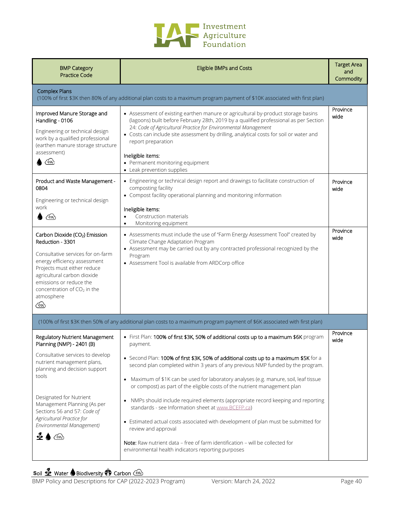

| <b>BMP Category</b><br><b>Practice Code</b>                                                                                                                                                                                                                                                                                      | <b>Eligible BMPs and Costs</b>                                                                                                                                                                                                                                                                                                                                                                                                                                                                                                                                                                                                                                                                                                                                                                                                                                            | <b>Target Area</b><br>and<br>Commodity |
|----------------------------------------------------------------------------------------------------------------------------------------------------------------------------------------------------------------------------------------------------------------------------------------------------------------------------------|---------------------------------------------------------------------------------------------------------------------------------------------------------------------------------------------------------------------------------------------------------------------------------------------------------------------------------------------------------------------------------------------------------------------------------------------------------------------------------------------------------------------------------------------------------------------------------------------------------------------------------------------------------------------------------------------------------------------------------------------------------------------------------------------------------------------------------------------------------------------------|----------------------------------------|
| <b>Complex Plans</b>                                                                                                                                                                                                                                                                                                             | (100% of first \$3K then 80% of any additional plan costs to a maximum program payment of \$10K associated with first plan)                                                                                                                                                                                                                                                                                                                                                                                                                                                                                                                                                                                                                                                                                                                                               |                                        |
| Improved Manure Storage and<br>Handling - 0106<br>Engineering or technical design<br>work by a qualified professional<br>(earthen manure storage structure<br>assessment)<br>$\binom{6}{2}$                                                                                                                                      | • Assessment of existing earthen manure or agricultural by-product storage basins<br>(lagoons) built before February 28th, 2019 by a qualified professional as per Section<br>24: Code of Agricultural Practice for Environmental Management<br>Costs can include site assessment by drilling, analytical costs for soil or water and<br>report preparation<br>Ineligible items:<br>• Permanent monitoring equipment<br>• Leak prevention supplies                                                                                                                                                                                                                                                                                                                                                                                                                        | Province<br>wide                       |
| Product and Waste Management -<br>0804<br>Engineering or technical design<br>work<br>ැං                                                                                                                                                                                                                                          | • Engineering or technical design report and drawings to facilitate construction of<br>composting facility<br>• Compost facility operational planning and monitoring information<br>Ineligible items:<br>Construction materials<br>$\bullet$<br>Monitoring equipment<br>$\bullet$                                                                                                                                                                                                                                                                                                                                                                                                                                                                                                                                                                                         | Province<br>wide                       |
| Carbon Dioxide (CO <sub>2</sub> ) Emission<br>Reduction - 3301<br>Consultative services for on-farm<br>energy efficiency assessment<br>Projects must either reduce<br>agricultural carbon dioxide<br>emissions or reduce the<br>concentration of $CO2$ in the<br>atmosphere<br>෬                                                 | • Assessments must include the use of "Farm Energy Assessment Tool" created by<br>Climate Change Adaptation Program<br>• Assessment may be carried out by any contracted professional recognized by the<br>Program<br>• Assessment Tool is available from ARDCorp office                                                                                                                                                                                                                                                                                                                                                                                                                                                                                                                                                                                                  | Province<br>wide                       |
|                                                                                                                                                                                                                                                                                                                                  | (100% of first \$3K then 50% of any additional plan costs to a maximum program payment of \$6K associated with first plan)                                                                                                                                                                                                                                                                                                                                                                                                                                                                                                                                                                                                                                                                                                                                                |                                        |
| Regulatory Nutrient Management<br>Planning (NMP) - 2401 (B)<br>Consultative services to develop<br>nutrient management plans,<br>planning and decision support<br>tools<br>Designated for Nutrient<br>Management Planning (As per<br>Sections 56 and 57: Code of<br>Agricultural Practice for<br>Environmental Management)<br>ැං | • First Plan: 100% of first \$3K, 50% of additional costs up to a maximum \$6K program<br>payment.<br>• Second Plan: 100% of first \$3K, 50% of additional costs up to a maximum \$5K for a<br>second plan completed within 3 years of any previous NMP funded by the program.<br>Maximum of \$1K can be used for laboratory analyses (e.g. manure, soil, leaf tissue<br>$\bullet$<br>or compost) as part of the eligible costs of the nutrient management plan<br>NMPs should include required elements (appropriate record keeping and reporting<br>$\bullet$<br>standards - see Information sheet at www.BCEFP.ca)<br>• Estimated actual costs associated with development of plan must be submitted for<br>review and approval<br>Note: Raw nutrient data - free of farm identification - will be collected for<br>environmental health indicators reporting purposes | Province<br>wide                       |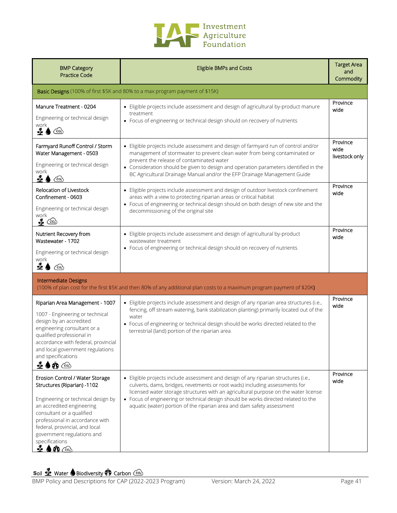

| <b>BMP Category</b><br><b>Practice Code</b>                                                                                                                                                                                                                                                                                               | <b>Eligible BMPs and Costs</b>                                                                                                                                                                                                                                                                                                                                                                                            | <b>Target Area</b><br>and<br>Commodity |
|-------------------------------------------------------------------------------------------------------------------------------------------------------------------------------------------------------------------------------------------------------------------------------------------------------------------------------------------|---------------------------------------------------------------------------------------------------------------------------------------------------------------------------------------------------------------------------------------------------------------------------------------------------------------------------------------------------------------------------------------------------------------------------|----------------------------------------|
|                                                                                                                                                                                                                                                                                                                                           | Basic Designs (100% of first \$5K and 80% to a max program payment of \$15K)                                                                                                                                                                                                                                                                                                                                              |                                        |
| Manure Treatment - 0204<br>Engineering or technical design<br>work.<br>ื้≄<br>$\bigcirc$                                                                                                                                                                                                                                                  | • Eligible projects include assessment and design of agricultural by-product manure<br>treatment<br>• Focus of engineering or technical design should on recovery of nutrients                                                                                                                                                                                                                                            | Province<br>wide                       |
| Farmyard Runoff Control / Storm<br>Water Management - 0503<br>Engineering or technical design<br>work<br>$\clubsuit$ (<br>$\cos$                                                                                                                                                                                                          | • Eligible projects include assessment and design of farmyard run of control and/or<br>management of stormwater to prevent clean water from being contaminated or<br>prevent the release of contaminated water<br>• Consideration should be given to design and operation parameters identified in the<br>BC Agricultural Drainage Manual and/or the EFP Drainage Management Guide                                        | Province<br>wide<br>livestock only     |
| Relocation of Livestock<br>Confinement - 0603<br>Engineering or technical design<br>work<br>$\bullet$ (co.)                                                                                                                                                                                                                               | • Eligible projects include assessment and design of outdoor livestock confinement<br>areas with a view to protecting riparian areas or critical habitat<br>• Focus of engineering or technical design should on both design of new site and the<br>decommissioning of the original site                                                                                                                                  | Province<br>wide                       |
| Nutrient Recovery from<br>Wastewater - 1702<br>Engineering or technical design<br>work<br>ื้≄<br>ැං                                                                                                                                                                                                                                       | • Eligible projects include assessment and design of agricultural by-product<br>wastewater treatment<br>• Focus of engineering or technical design should on recovery of nutrients                                                                                                                                                                                                                                        | Province<br>wide                       |
| <b>Intermediate Designs</b>                                                                                                                                                                                                                                                                                                               | (100% of plan cost for the first \$5K and then 80% of any additional plan costs to a maximum program payment of \$20K)                                                                                                                                                                                                                                                                                                    |                                        |
| Riparian Area Management - 1007<br>1007 - Engineering or technical<br>design by an accredited<br>engineering consultant or a<br>qualified professional in<br>accordance with federal, provincial<br>and local government regulations<br>and specifications<br><b>⊈♦∩</b>                                                                  | • Eligible projects include assessment and design of any riparian area structures (i.e.,<br>fencing, off stream watering, bank stabilization planting) primarily located out of the<br>water<br>• Focus of engineering or technical design should be works directed related to the<br>terrestrial (land) portion of the riparian area                                                                                     | Province<br>wide                       |
| Erosion Control / Water Storage<br>Structures (Riparian) -1102<br>Engineering or technical design by<br>an accredited engineering<br>consultant or a qualified<br>professional in accordance with<br>federal, provincial, and local<br>government regulations and<br>specifications<br>$\mathbf{\Phi} \bullet \mathbf{\Phi} \circledcirc$ | • Eligible projects include assessment and design of any riparian structures (i.e.,<br>culverts, dams, bridges, revetments or root wads) including assessments for<br>licensed water storage structures with an agricultural purpose on the water license<br>• Focus of engineering or technical design should be works directed related to the<br>aquatic (water) portion of the riparian area and dam safety assessment | Province<br>wide                       |